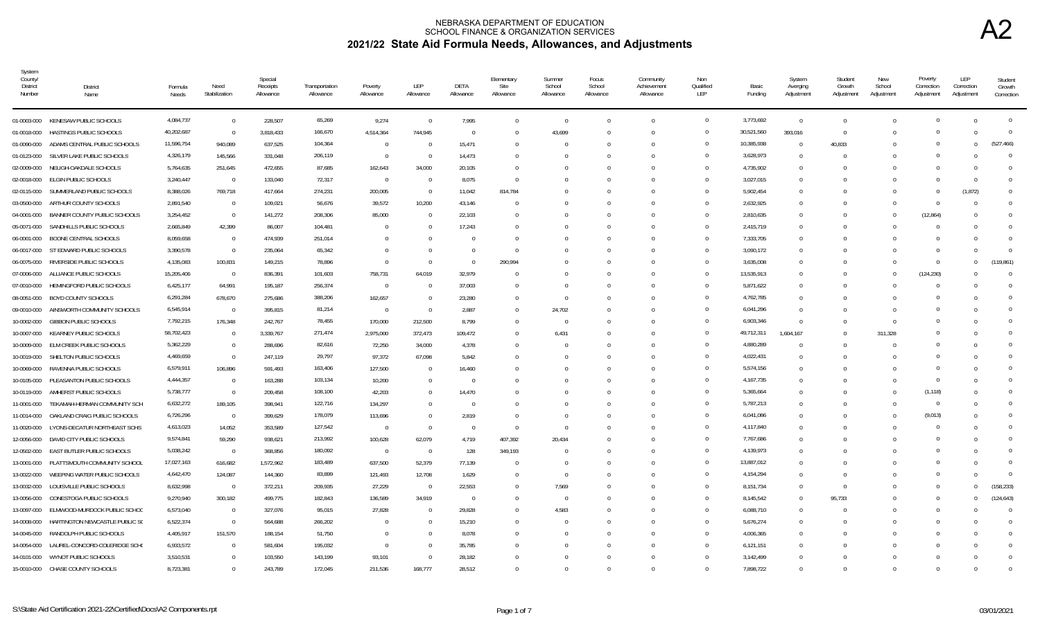| System<br>County/<br><b>District</b><br>Number | <b>District</b><br>Name              | Formula<br>Needs | Need<br>Stabilization | Special<br>Receipts<br>Allowance | Transportation<br>Allowance | Poverty<br>Allowance | LEP<br>Allowance         | DETA<br>Allowance | Elementary<br>Site<br>Allowance | Summer<br>School<br>Allowance | Focus<br>School<br>Allowance | Community<br>Achievement<br>Allowance | Non<br>Qualified<br>LEP | Basic<br>Funding | System<br>Averging<br>Adjustment | Student<br>Growth<br>Adjustment | New<br>School<br>Adjustment | Poverty<br>Correction<br>Adjustment | LEP<br>Correction<br>Adjustment | Student<br>Growth<br>Correction |
|------------------------------------------------|--------------------------------------|------------------|-----------------------|----------------------------------|-----------------------------|----------------------|--------------------------|-------------------|---------------------------------|-------------------------------|------------------------------|---------------------------------------|-------------------------|------------------|----------------------------------|---------------------------------|-----------------------------|-------------------------------------|---------------------------------|---------------------------------|
|                                                | 01-0003-000 KENESAW PUBLIC SCHOOLS   | 4,084,737        | $\overline{0}$        | 228,507                          | 65,269                      | 9,274                | $\overline{0}$           | 7,995             | $\Omega$                        | $\Omega$                      | $\Omega$                     | $\Omega$                              | $\mathbf{0}$            | 3,773,692        | $\overline{0}$                   | $\Omega$                        |                             |                                     |                                 | $\overline{0}$                  |
| 01-0018-000                                    | HASTINGS PUBLIC SCHOOLS              | 40,202,687       | $\overline{0}$        | 3,818,433                        | 166,670                     | 4,514,364            | 744,945                  | $\overline{0}$    | $\Omega$                        | 43,699                        | $\Omega$                     | $\Omega$                              | $\Omega$                | 30,521,560       | 393,016                          | $\Omega$                        |                             |                                     |                                 | $\Omega$                        |
| 01-0090-000                                    | ADAMS CENTRAL PUBLIC SCHOOLS         | 11,596,754       | 940,089               | 637,525                          | 104,364                     | $\overline{0}$       | - 0                      | 15,471            | $\Omega$                        | - 0                           | $\Omega$                     | $\Omega$                              | $\Omega$                | 10,385,938       | $\mathbf{0}$                     | 40,833                          |                             |                                     | $\Omega$                        | (527.466)                       |
| 01-0123-000                                    | SILVER LAKE PUBLIC SCHOOLS           | 4,326,179        | 145,566               | 331,048                          | 206,119                     | $\overline{0}$       | - 0                      | 14,473            | $\Omega$                        | - 0                           | $\Omega$                     | $\Omega$                              | $\Omega$                | 3,628,973        | $\mathbf{0}$                     | $\Omega$                        |                             |                                     |                                 | $\Omega$                        |
| 02-0009-000                                    | NELIGH-OAKDALE SCHOOLS               | 5,764,635        | 251,645               | 472,655                          | 87,685                      | 162,643              | 34,000                   | 20,105            | $\Omega$                        |                               |                              | $\Omega$                              | $\Omega$                | 4,735,902        | $\Omega$                         | $\sqrt{ }$                      |                             |                                     |                                 | $\Omega$                        |
| 02-0018-000                                    | ELGIN PUBLIC SCHOOLS                 | 3,240,447        | $\overline{0}$        | 133,040                          | 72,317                      | $\overline{0}$       | $\overline{0}$           | 8,075             | $\overline{0}$                  | ſ                             | $\Omega$                     | $\Omega$                              | $\Omega$                | 3,027,015        | $\Omega$                         | $\sqrt{ }$                      |                             |                                     | $\Omega$                        | $\Omega$                        |
| 02-0115-000                                    | SUMMERLAND PUBLIC SCHOOLS            | 8,388,026        | 769,718               | 417,664                          | 274,231                     | 200,005              | $\overline{0}$           | 11,042            | 814,784                         |                               | $\Omega$                     | $\Omega$                              | $\Omega$                | 5,902,454        | $\Omega$                         | $\Omega$                        |                             | $\Omega$                            | (1, 872)                        | $\Omega$                        |
| 03-0500-000                                    | ARTHUR COUNTY SCHOOLS                | 2,891,540        | $\Omega$              | 109,021                          | 56,676                      | 39,572               | 10,200                   | 43,146            | $\Omega$                        |                               | <sup>0</sup>                 | $\cup$                                | $\Omega$                | 2,632,925        | $\Omega$                         | $\Omega$                        |                             |                                     |                                 | $\Omega$                        |
| 04-0001-000                                    | BANNER COUNTY PUBLIC SCHOOLS         | 3,254,452        | $\overline{0}$        | 141,272                          | 208,306                     | 85,000               | $\Omega$                 | 22,103            | $\Omega$                        |                               | $\Omega$                     | $\Omega$                              | $\Omega$                | 2,810,635        | $\Omega$                         | $\Omega$                        |                             | (12, 864)                           |                                 |                                 |
| 05-0071-000                                    | SANDHILLS PUBLIC SCHOOLS             | 2,665,849        | 42,399                | 86,007                           | 104,481                     | $\overline{0}$       | $\Omega$                 | 17,243            | $\Omega$                        |                               | $\Omega$                     | $\Omega$                              | $\Omega$                | 2,415,719        | $\Omega$                         | $\sqrt{ }$                      |                             |                                     |                                 |                                 |
| 06-0001-000                                    | BOONE CENTRAL SCHOOLS                | 8,059,658        | $\Omega$              | 474,939                          | 251,014                     | $\Omega$             | $\Omega$                 | $\Omega$          | $\Omega$                        |                               | 0                            | $\Omega$                              | $\Omega$                | 7,333,705        | $\Omega$                         | $\Omega$                        |                             |                                     |                                 | $\Omega$                        |
|                                                | 06-0017-000 ST EDWARD PUBLIC SCHOOLS | 3,390,578        | $\Omega$              | 235,064                          | 65,342                      | $\Omega$             | $\Omega$                 | $\Omega$          | $\Omega$                        |                               |                              | $\Omega$                              | $\Omega$                | 3,090,172        | $\Omega$                         | $\cup$                          |                             |                                     |                                 | $\Omega$                        |
| 06-0075-000                                    | RIVERSIDE PUBLIC SCHOOLS             | 4,135,083        | 100,831               | 149,215                          | 78,896                      | $\overline{0}$       | $\Omega$                 | $\Omega$          | 290,994                         |                               |                              |                                       | $\Omega$                | 3,635,008        | $\Omega$                         |                                 |                             | $\Omega$                            |                                 | (119, 861)                      |
| 07-0006-000                                    | ALLIANCE PUBLIC SCHOOLS              | 15,205,406       | $\overline{0}$        | 836,391                          | 101,603                     | 758,731              | 64,019                   | 32,979            |                                 |                               |                              |                                       | $\Omega$                | 13,535,913       | $\Omega$                         |                                 |                             | (124, 230)                          |                                 | $\Omega$                        |
| 07-0010-000                                    | HEMINGFORD PUBLIC SCHOOLS            | 6,425,177        | 64,991                | 195,187                          | 256,374                     | $\overline{0}$       | - 0                      | 37,003            | $\Omega$                        | $\Omega$                      | $\Omega$                     | $\Omega$                              | $\Omega$                | 5,871,622        | $\Omega$                         | $\Omega$                        |                             |                                     |                                 | $\Omega$                        |
| 08-0051-000                                    | BOYD COUNTY SCHOOLS                  | 6,291,284        | 678,670               | 275,686                          | 388,206                     | 162,657              | $\overline{0}$           | 23,280            | $\Omega$                        | 0                             |                              | $\Omega$                              | $\Omega$                | 4,762,785        | $\Omega$                         | $\sqrt{ }$                      |                             |                                     |                                 | $\Omega$                        |
| 09-0010-000                                    | AINSWORTH COMMUNITY SCHOOLS          | 6,545,914        | $\overline{0}$        | 395,815                          | 81,214                      | $\overline{0}$       | $\Omega$                 | 2,887             | $\Omega$                        | 24,702                        | $\Omega$                     | $\Omega$                              | $\Omega$                | 6,041,296        | $\Omega$                         | $\cup$                          |                             |                                     |                                 | $\Omega$                        |
| 10-0002-000                                    | GIBBON PUBLIC SCHOOLS                | 7,792,215        | 176,348               | 242,767                          | 78,455                      | 170,000              | 212,500                  | 8,799             | $\Omega$                        | - 0                           | $\Omega$                     | $\Omega$                              | $\Omega$                | 6,903,346        | $\Omega$                         | $\Omega$                        |                             |                                     |                                 | $\Omega$                        |
| 10-0007-000                                    | KEARNEY PUBLIC SCHOOLS               | 58,702,423       | $\overline{0}$        | 3,339,767                        | 271,474                     | 2,975,000            | 372,473                  | 109,472           | $\Omega$                        | 6,431                         | $\Omega$                     | $\Omega$                              | $\Omega$                | 49,712,311       | 1,604,167                        | $\Omega$                        | 311,328                     |                                     |                                 |                                 |
| 10-0009-000                                    | ELM CREEK PUBLIC SCHOOLS             | 5,362,229        | $\Omega$              | 288,696                          | 82,616                      | 72,250               | 34,000                   | 4,378             | $\Omega$                        | - 0                           | $\Omega$                     | $\Omega$                              | $\Omega$                | 4,880,289        | $\Omega$                         | $\Omega$                        |                             |                                     |                                 | $\Omega$                        |
|                                                | 10-0019-000 SHELTON PUBLIC SCHOOLS   | 4,469,659        | $\overline{0}$        | 247,119                          | 29,797                      | 97,372               | 67,098                   | 5,842             | $\Omega$                        | - 0                           | $\Omega$                     | $\Omega$                              | $\Omega$                | 4,022,431        | $\Omega$                         | $\Omega$                        |                             |                                     |                                 | $\Omega$                        |
| 10-0069-000                                    | RAVENNA PUBLIC SCHOOLS               | 6,579,911        | 106,896               | 591,493                          | 163,406                     | 127,500              | $\Omega$                 | 16,460            | $\Omega$                        |                               | $\Omega$                     | $\Omega$                              | $\Omega$                | 5,574,156        | $\Omega$                         |                                 |                             |                                     |                                 | $\Omega$                        |
| 10-0105-000                                    | PLEASANTON PUBLIC SCHOOLS            | 4,444,357        | $\Omega$              | 163,288                          | 103,134                     | 10,200               | - 0                      | $\Omega$          | $\cup$                          |                               |                              | $\cup$                                | $\Omega$                | 4,167,735        | $\Omega$                         |                                 |                             |                                     |                                 |                                 |
| 10-0119-000                                    | AMHERST PUBLIC SCHOOLS               | 5,738,777        | $\overline{0}$        | 209,458                          | 108,100                     | 42,203               | $\Omega$                 | 14.470            | $\Omega$                        |                               |                              | $\Omega$                              | $\Omega$                | 5,365,664        | $\Omega$                         |                                 |                             | (1, 118)                            |                                 | $\Omega$                        |
| 11-0001-000                                    | TEKAMAH-HERMAN COMMUNITY SCH         | 6,632,272        | 189,105               | 398,941                          | 122,716                     | 134,297              | $\Omega$                 | $\Omega$          | $\Omega$                        |                               | <sup>0</sup>                 | $\Omega$                              | $\Omega$                | 5,787,213        | $\Omega$                         | $\cup$                          |                             | - 0                                 |                                 | $\Omega$                        |
| 11-0014-000                                    | OAKLAND CRAIG PUBLIC SCHOOLS         | 6,726,296        | $\overline{0}$        | 399,629                          | 178,079                     | 113,696              | $\Omega$                 | 2,819             | $\Omega$                        | $\Omega$                      |                              |                                       | $\Omega$                | 6,041,086        | $\Omega$                         | $\Omega$                        |                             | (9,013)                             |                                 | $\Omega$                        |
| 11-0020-000                                    | LYONS-DECATUR NORTHEAST SCHS         | 4,613,023        | 14,052                | 353,589                          | 127,542                     | $\overline{0}$       | $\Omega$                 | $\Omega$          | $\Omega$                        | $\Omega$                      |                              |                                       | $\Omega$                | 4,117,840        | $\Omega$                         |                                 |                             |                                     |                                 |                                 |
| 12-0056-000                                    | DAVID CITY PUBLIC SCHOOLS            | 9,574,841        | 59,290                | 938,621                          | 213,992                     | 100,628              | 62,079                   | 4,719             | 407,392                         | 20,434                        |                              |                                       | $\Omega$                | 7,767,686        | $\mathbf{0}$                     |                                 |                             |                                     |                                 | $\cap$                          |
| 12-0502-000                                    | EAST BUTLER PUBLIC SCHOOLS           | 5,038,242        | $\overline{0}$        | 368,856                          | 180,092                     | $\overline{0}$       | $\overline{\phantom{0}}$ | 128               | 349,193                         | 0                             |                              | $\cup$                                | $\Omega$                | 4,139,973        | $\mathbf{0}$                     | $\Omega$                        |                             |                                     |                                 | $\Omega$                        |
| 13-0001-000                                    | PLATTSMOUTH COMMUNITY SCHOOL         | 17,027,163       | 616,682               | 1,572,962                        | 183,489                     | 637,500              | 52,379                   | 77,139            | $\Omega$                        | $\Omega$                      | $\Omega$                     | $\Omega$                              | $\Omega$                | 13,887,012       | $\Omega$                         | $\sqrt{ }$                      |                             |                                     |                                 | $\Omega$                        |
| 13-0022-000                                    | WEEPING WATER PUBLIC SCHOOLS         | 4,642,470        | 124,087               | 144,360                          | 83,899                      | 121,493              | 12,708                   | 1,629             | $\Omega$                        | $\Omega$                      |                              | $\Omega$                              | $\Omega$                | 4,154,294        | $\Omega$                         | $\Omega$                        |                             |                                     |                                 | $\Omega$                        |
| 13-0032-000                                    | LOUISVILLE PUBLIC SCHOOLS            | 8,632,998        | $\overline{0}$        | 372,211                          | 209,935                     | 27,229               | $\overline{0}$           | 22,553            | $\Omega$                        | 7,569                         | $\Omega$                     | $\Omega$                              | $\Omega$                | 8,151,734        | $\Omega$                         | $\Omega$                        |                             |                                     | $\Omega$                        | (158, 233)                      |
| 13-0056-000                                    | CONESTOGA PUBLIC SCHOOLS             | 9,270,940        | 300,182               | 499,775                          | 182,843                     | 136,589              | 34,919                   | $\Omega$          | $\Omega$                        | - 0                           | $\Omega$                     | $\Omega$                              | $\Omega$                | 8,145,542        | $\Omega$                         | 95,733                          |                             | $\Omega$                            |                                 | (124.643)                       |
| 13-0097-000                                    | ELMWOOD-MURDOCK PUBLIC SCHOO         | 6,573,040        | $\overline{0}$        | 327,076                          | 95,015                      | 27,828               | - 0                      | 29,828            | $\Omega$                        | 4,583                         | $\Omega$                     | $\cup$                                |                         | 6,088,710        | $\Omega$                         | $\Omega$                        |                             |                                     |                                 | $\Omega$                        |
| 14-0008-000                                    | HARTINGTON NEWCASTLE PUBLIC SO       | 6,522,374        | $\overline{0}$        | 564,688                          | 266,202                     | $\Omega$             | - 0                      | 15,210            | $\Omega$                        | - 0                           | $\Omega$                     | $\Omega$                              | $\Omega$                | 5,676,274        | $\Omega$                         | $\sqrt{ }$                      |                             |                                     |                                 | $\Omega$                        |
|                                                | 14-0045-000 RANDOLPH PUBLIC SCHOOLS  | 4,405,917        | 151,570               | 188,154                          | 51,750                      | $\Omega$             | - 0                      | 8,078             | $\Omega$                        | - 0                           | $\Omega$                     | $\Omega$                              | $\Omega$                | 4,006,365        | $\Omega$                         | n                               |                             |                                     |                                 | $\Omega$                        |
| 14-0054-000                                    | LAUREL-CONCORD-COLERIDGE SCH         | 6,933,572        | $\Omega$              | 581,604                          | 195,032                     | $\overline{0}$       | $\Omega$                 | 35.785            | $\Omega$                        |                               | <sup>0</sup>                 | $\Omega$                              | $\Omega$                | 6,121,151        | $\Omega$                         |                                 |                             |                                     |                                 | $\Omega$                        |
| 14-0101-000                                    | WYNOT PUBLIC SCHOOLS                 | 3,510,531        | $\Omega$              | 103,550                          | 143,199                     | 93,101               | $\Omega$                 | 28.182            | $\cup$                          |                               | $\Omega$                     | $\cup$                                |                         | 3,142,499        | $\Omega$                         |                                 |                             |                                     |                                 | $\Omega$                        |
|                                                | 15-0010-000 CHASE COUNTY SCHOOLS     | 8,723,381        |                       | 243,789                          | 172,045                     | 211,536              | 168,777                  | 28,512            | $\Omega$                        |                               |                              |                                       | $\Omega$                | 7,898,722        | $\Omega$                         | $\Omega$                        |                             |                                     |                                 |                                 |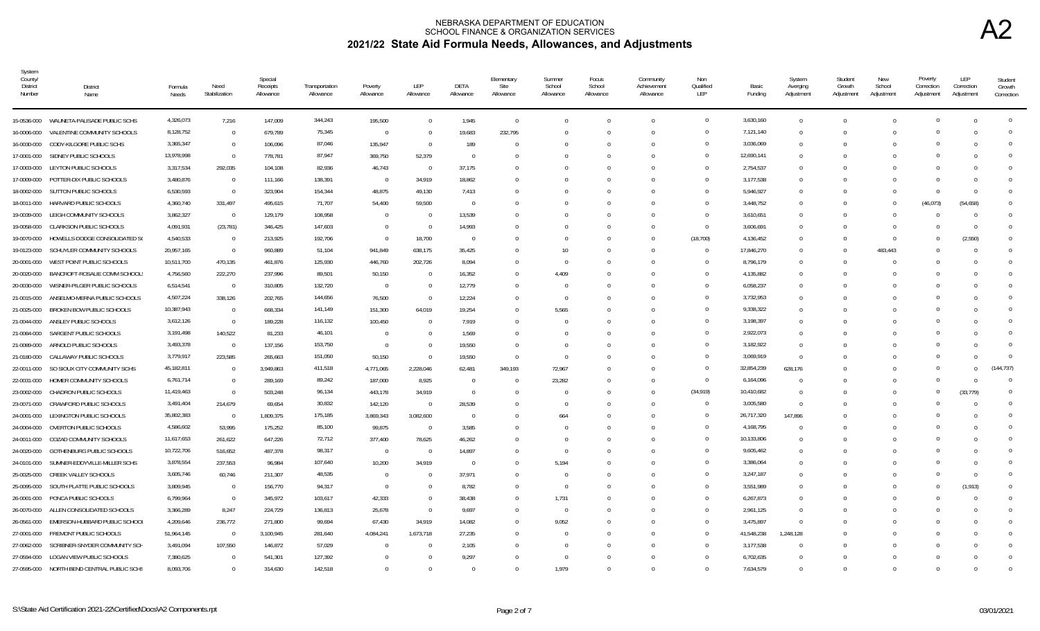| System<br>County/<br>District<br>Number | <b>District</b><br>Name                    | Formula<br>Needs | Need<br>Stabilization | Special<br>Receipts<br>Allowance | Transportation<br>Allowance | Poverty<br>Allowance | LEP<br>Allowance | DETA<br>Allowance | Elementary<br>Site<br>Allowance | Summer<br>School<br>Allowance | Focus<br>School<br>Allowance | Community<br>Achievement<br>Allowance | Non<br>Qualified<br>LEP | Basic<br>Funding | System<br>Averging<br>Adjustment | Student<br>Growth<br>Adjustment | New<br>School<br>Adjustment | Poverty<br>Correction<br>Adjustment | LEP<br>Correction<br>Adjustment | Student<br>Growth<br>Correction |
|-----------------------------------------|--------------------------------------------|------------------|-----------------------|----------------------------------|-----------------------------|----------------------|------------------|-------------------|---------------------------------|-------------------------------|------------------------------|---------------------------------------|-------------------------|------------------|----------------------------------|---------------------------------|-----------------------------|-------------------------------------|---------------------------------|---------------------------------|
|                                         | 15-0536-000 WAUNETA-PALISADE PUBLIC SCHS   | 4,326,073        | 7,216                 | 147,009                          | 344,243                     | 195,500              | $\Omega$         | 1,945             | $\overline{0}$                  |                               |                              | $\Omega$                              | $\overline{0}$          | 3,630,160        | $\mathbf{0}$                     | $\Omega$                        |                             |                                     |                                 | $\Omega$                        |
| 16-0006-000                             | VALENTINE COMMUNITY SCHOOLS                | 8,128,752        | $\overline{0}$        | 679,789                          | 75,345                      | $\overline{0}$       | - 0              | 19,683            | 232,795                         |                               |                              | $\Omega$                              | $\Omega$                | 7,121,140        | $\overline{0}$                   | $\Omega$                        |                             |                                     |                                 | $\Omega$                        |
| 16-0030-000                             | CODY-KILGORE PUBLIC SCHS                   | 3,365,347        | $\overline{0}$        | 106,096                          | 87,046                      | 135,947              | - 0              | 189               | $\Omega$                        |                               |                              | $\Omega$                              | $\Omega$                | 3,036,069        | $\mathbf{0}$                     | $\Omega$                        |                             |                                     |                                 | $\Omega$                        |
| 17-0001-000                             | SIDNEY PUBLIC SCHOOLS                      | 13,978,998       | $\mathbf{0}$          | 778,781                          | 87,947                      | 369,750              | 52,379           | $\Omega$          |                                 |                               |                              | $\Omega$                              | $\Omega$                | 12,690,141       | $\mathbf{0}$                     | $\Omega$                        |                             |                                     |                                 | $\Omega$                        |
| 17-0003-000                             | LEYTON PUBLIC SCHOOLS                      | 3,317,534        | 292,035               | 104,108                          | 82,936                      | 46,743               | $\overline{0}$   | 37,175            | $\Omega$                        |                               |                              | $\Omega$                              | $\Omega$                | 2,754,537        | $\mathbf{0}$                     | n                               |                             |                                     |                                 | $\Omega$                        |
|                                         | 17-0009-000 POTTER-DIX PUBLIC SCHOOLS      | 3,480,876        | $\overline{0}$        | 111,166                          | 138,391                     | $\Omega$             | 34,919           | 18,862            |                                 |                               |                              | $\bigcap$                             | $\Omega$                | 3,177,538        | $\mathbf 0$                      | $\Omega$                        |                             |                                     | - ( )                           | $\Omega$                        |
| 18-0002-000                             | SUTTON PUBLIC SCHOOLS                      | 6,530,593        | $\Omega$              | 323,904                          | 154,344                     | 48,875               | 49,130           | 7,413             | $\Omega$                        |                               |                              | $\Omega$                              | $\Omega$                | 5,946,927        | $\Omega$                         | $\Omega$                        |                             | $\Omega$                            | - 0                             | $\Omega$                        |
| 18-0011-000                             | HARVARD PUBLIC SCHOOLS                     | 4,360,740        | 331,497               | 495,615                          | 71,707                      | 54,400               | 59,500           | $\Omega$          |                                 |                               |                              |                                       | $\Omega$                | 3,448,752        | $\Omega$                         | $\Omega$                        | $\Omega$                    | (46, 073)                           | (54, 658)                       | $\Omega$                        |
| 19-0039-000                             | LEIGH COMMUNITY SCHOOLS                    | 3,862,327        | $\Omega$              | 129,179                          | 108,958                     | $\Omega$             | - 0              | 13,539            |                                 |                               |                              | $\Omega$                              | $\Omega$                | 3,610,651        | $\Omega$                         | $\Omega$                        |                             |                                     | $\Omega$                        | $\Omega$                        |
| 19-0058-000                             | <b>CLARKSON PUBLIC SCHOOLS</b>             | 4,091,931        | (23, 781)             | 346,425                          | 147,603                     | $\Omega$             | - 0              | 14,993            |                                 |                               |                              | $\Omega$                              | $\Omega$                | 3,606,691        | $\Omega$                         | $\Omega$                        |                             |                                     |                                 | $\Omega$                        |
| 19-0070-000                             | HOWELLS-DODGE CONSOLIDATED SO              | 4,540,533        | $\overline{0}$        | 213,925                          | 192,706                     | $\Omega$             | 18,700           | $\Omega$          |                                 |                               |                              | $\Omega$                              | (18, 700)               | 4,136,452        | $\Omega$                         | $\Omega$                        | $\Omega$                    |                                     | (2,550)                         | $\mathbf{0}$                    |
| 19-0123-000                             | SCHUYLER COMMUNITY SCHOOLS                 | 20,957,165       | $\Omega$              | 960,889                          | 51,104                      | 941,849              | 638,175          | 35,425            |                                 | 10                            |                              |                                       | $\overline{0}$          | 17,846,270       | $\mathbf 0$                      | $\Omega$                        | 483,443                     |                                     |                                 | $\Omega$                        |
|                                         | 20-0001-000 WEST POINT PUBLIC SCHOOLS      | 10,511,700       | 470,135               | 461,876                          | 125,930                     | 446,760              | 202,726          | 8,094             |                                 |                               |                              |                                       | $\Omega$                | 8,796,179        | $\Omega$                         | $\Omega$                        |                             |                                     |                                 | $\Omega$                        |
| 20-0020-000                             | BANCROFT-ROSALIE COMM SCHOOL               | 4,756,560        | 222,270               | 237,996                          | 89,501                      | 50,150               | - 0              | 16,352            | $\Omega$                        | 4,409                         |                              |                                       | $\Omega$                | 4,135,882        | $\Omega$                         | $\Omega$                        |                             |                                     |                                 | $\Omega$                        |
| 20-0030-000                             | WISNER-PILGER PUBLIC SCHOOLS               | 6,514,541        | $\Omega$              | 310,805                          | 132,720                     | $\overline{0}$       | - 0              | 12,779            | $\Omega$                        |                               |                              |                                       | $\Omega$                | 6,058,237        | $\Omega$                         | n                               |                             |                                     |                                 | $\Omega$                        |
| 21-0015-000                             | ANSELMO-MERNA PUBLIC SCHOOLS               | 4,507,224        | 338,126               | 202,765                          | 144,656                     | 76,500               | $\Omega$         | 12,224            | $\Omega$                        | - 0                           |                              |                                       | $\Omega$                | 3,732,953        | $\Omega$                         |                                 |                             |                                     |                                 | $\Omega$                        |
| 21-0025-000                             | BROKEN BOW PUBLIC SCHOOLS                  | 10,387,943       | $\Omega$              | 668,334                          | 141,149                     | 151,300              | 64,019           | 19,254            | $\Omega$                        | 5,565                         |                              | $\cup$                                | $\Omega$                | 9,338,322        | $\Omega$                         | $\Omega$                        |                             |                                     |                                 | $\Omega$                        |
| 21-0044-000                             | ANSLEY PUBLIC SCHOOLS                      | 3,612,126        | $\Omega$              | 189,228                          | 116,132                     | 100,450              | $\bigcap$        | 7,919             | $\Omega$                        |                               |                              | $\cup$                                | $\Omega$                | 3,198,397        | $\Omega$                         | $\Omega$                        |                             |                                     |                                 | $\Omega$                        |
| 21-0084-000                             | SARGENT PUBLIC SCHOOLS                     | 3,191,498        | 140,522               | 81,233                           | 46,101                      | $\Omega$             |                  | 1,569             |                                 |                               |                              |                                       | $\Omega$                | 2,922,073        | $\Omega$                         | n                               |                             |                                     |                                 |                                 |
|                                         | 21-0089-000 ARNOLD PUBLIC SCHOOLS          | 3,493,378        | $\overline{0}$        | 137,156                          | 153,750                     | $\Omega$             | - 0              | 19,550            | $\Omega$                        |                               |                              | $\Omega$                              | $\Omega$                | 3,182,922        | $\Omega$                         | n                               |                             |                                     |                                 |                                 |
|                                         | 21-0180-000 CALLAWAY PUBLIC SCHOOLS        | 3,779,917        | 223,585               | 265,663                          | 151,050                     | 50,150               | $\bigcap$        | 19,550            | $\Omega$                        | $\bigcap$                     | 0                            | $\Omega$                              | $\Omega$                | 3,069,919        | $\Omega$                         | $\Omega$                        |                             |                                     |                                 |                                 |
| 22-0011-000                             | SO SIOUX CITY COMMUNITY SCHS               | 45,182,811       | $\Omega$              | 3,949,863                        | 411,518                     | 4,771,065            | 2,228,046        | 62,481            | 349.193                         | 72,967                        | <sup>0</sup>                 | $\Omega$                              | $\Omega$                | 32,854,239       | 628.176                          | $\Omega$                        |                             |                                     |                                 | (144, 737)                      |
| 22-0031-000                             | HOMER COMMUNITY SCHOOLS                    | 6,761,714        | $\Omega$              | 289.169                          | 89,242                      | 187,000              | 8,925            | $\Omega$          | $\Omega$                        | 23,282                        | <sup>0</sup>                 | $\Omega$                              | $\overline{0}$          | 6,164,096        | $\Omega$                         | $\Omega$                        |                             |                                     |                                 | $\Omega$                        |
| 23-0002-000                             | CHADRON PUBLIC SCHOOLS                     | 11,419,463       | $\Omega$              | 503,248                          | 96,134                      | 443,178              | 34,919           | $\Omega$          |                                 |                               |                              | $\Omega$                              | (34, 919)               | 10,410,682       | $\mathbf 0$                      |                                 |                             |                                     | (33, 779)                       | $\Omega$                        |
| 23-0071-000                             | CRAWFORD PUBLIC SCHOOLS                    | 3,491,404        | 214,679               | 69,654                           | 30,832                      | 142,120              | - 0              | 28,539            |                                 |                               |                              |                                       | $\Omega$                | 3,005,580        | $\Omega$                         |                                 |                             |                                     |                                 | $\Omega$                        |
| 24-0001-000                             | LEXINGTON PUBLIC SCHOOLS                   | 35,802,383       | $\mathbf{0}$          | 1,809,375                        | 175,185                     | 3,869,343            | 3,082,600        | - 0               |                                 | 664                           |                              |                                       | $\Omega$                | 26,717,320       | 147,896                          | -0                              |                             |                                     |                                 | $\Omega$                        |
| 24-0004-000                             | OVERTON PUBLIC SCHOOLS                     | 4,586,602        | 53,995                | 175,252                          | 85,100                      | 99,875               | - 0              | 3,585             |                                 |                               |                              |                                       | $\Omega$                | 4,168,795        | $\mathbf{0}$                     |                                 |                             |                                     |                                 | $\Omega$                        |
|                                         | 24-0011-000 COZAD COMMUNITY SCHOOLS        | 11,617,653       | 261,622               | 647,226                          | 72,712                      | 377,400              | 78,625           | 46,262            | $\Omega$                        |                               | <sup>0</sup>                 | $\Omega$                              | $\Omega$                | 10,133,806       | $\Omega$                         | $\sqrt{ }$                      |                             |                                     |                                 | $\Omega$                        |
| 24-0020-000                             | GOTHENBURG PUBLIC SCHOOLS                  | 10,722,706       | 516,652               | 487,378                          | 98,317                      | $\Omega$             | - 0              | 14,897            | $\Omega$                        | - 0                           | <sup>0</sup>                 | $\Omega$                              | $\Omega$                | 9,605,462        | $\Omega$                         | $\Omega$                        |                             |                                     |                                 | $\Omega$                        |
| 24-0101-000                             | SUMNER-EDDYVILLE-MILLER SCHS               | 3,878,554        | 237,553               | 96,984                           | 107,640                     | 10,200               | 34,919           | $\Omega$          | $\cup$                          | 5,194                         |                              | $\cup$                                | $\Omega$                | 3,386,064        | $\Omega$                         | -0                              |                             |                                     |                                 | $\Omega$                        |
| 25-0025-000                             | CREEK VALLEY SCHOOLS                       | 3,605,746        | 60,746                | 211,307                          | 48,535                      | $\Omega$             | $\bigcap$        | 37,971            | $\Omega$                        |                               |                              | $\Omega$                              | $\Omega$                | 3,247,187        | $\Omega$                         | $\Omega$                        |                             |                                     | - 0                             | $\Omega$                        |
|                                         | 25-0095-000 SOUTH PLATTE PUBLIC SCHOOLS    | 3,809,945        | $\overline{0}$        | 156,770                          | 94,317                      | $\Omega$             |                  | 8,782             | $\cup$                          |                               |                              | $\cup$                                | $\Omega$                | 3,551,989        | $\Omega$                         | -0                              |                             |                                     | (1, 913)                        | $\Omega$                        |
| 26-0001-000                             | PONCA PUBLIC SCHOOLS                       | 6,799,964        | $\overline{0}$        | 345,972                          | 103,617                     | 42,333               | - 0              | 38,438            | $\Omega$                        | 1,731                         |                              | $\Omega$                              | $\Omega$                | 6,267,873        | $\Omega$                         | n                               |                             |                                     |                                 | $\Omega$                        |
|                                         | 26-0070-000 ALLEN CONSOLIDATED SCHOOLS     | 3,366,289        | 8,247                 | 224,729                          | 136,813                     | 25,678               | $\bigcap$        | 9,697             | $\cup$                          | - 0                           |                              |                                       | $\Omega$                | 2,961,125        | $\Omega$                         | n                               |                             |                                     |                                 | $\Omega$                        |
| 26-0561-000                             | EMERSON-HUBBARD PUBLIC SCHOOL              | 4,209,646        | 236,772               | 271,800                          | 99,694                      | 67,430               | 34,919           | 14.082            | $\Omega$                        | 9,052                         |                              |                                       | $\Omega$                | 3,475,897        | $\Omega$                         |                                 |                             |                                     |                                 | $\Omega$                        |
|                                         | 27-0001-000 FREMONT PUBLIC SCHOOLS         | 51,964,145       | $\Omega$              | 3,100,945                        | 281,640                     | 4,084,241            | 1,673,718        | 27,235            |                                 |                               |                              |                                       | $\Omega$                | 41,548,238       | 1,248,128                        |                                 |                             |                                     |                                 | $\Omega$                        |
| 27-0062-000                             | SCRIBNER-SNYDER COMMUNITY SCH              | 3,491,094        | 107,550               | 146,872                          | 57,029                      | - 0                  |                  | 2,105             |                                 |                               |                              |                                       | $\Omega$                | 3,177,538        | $\Omega$                         | $\Omega$                        |                             |                                     |                                 | $\Omega$                        |
|                                         | 27-0594-000 LOGAN VIEW PUBLIC SCHOOLS      | 7,380,625        | $\Omega$              | 541,301                          | 127,392                     |                      |                  | 9,297             |                                 |                               |                              |                                       | $\Omega$                | 6,702,635        | $\Omega$                         | $\Omega$                        |                             |                                     |                                 | $\Omega$                        |
|                                         | 27-0595-000 NORTH BEND CENTRAL PUBLIC SCHS | 8,093,706        | $\Omega$              | 314,630                          | 142,518                     |                      |                  | $\Omega$          |                                 | 1,979                         |                              |                                       | $\Omega$                | 7,634,579        | $\Omega$                         | $\Omega$                        |                             |                                     |                                 | $\Omega$                        |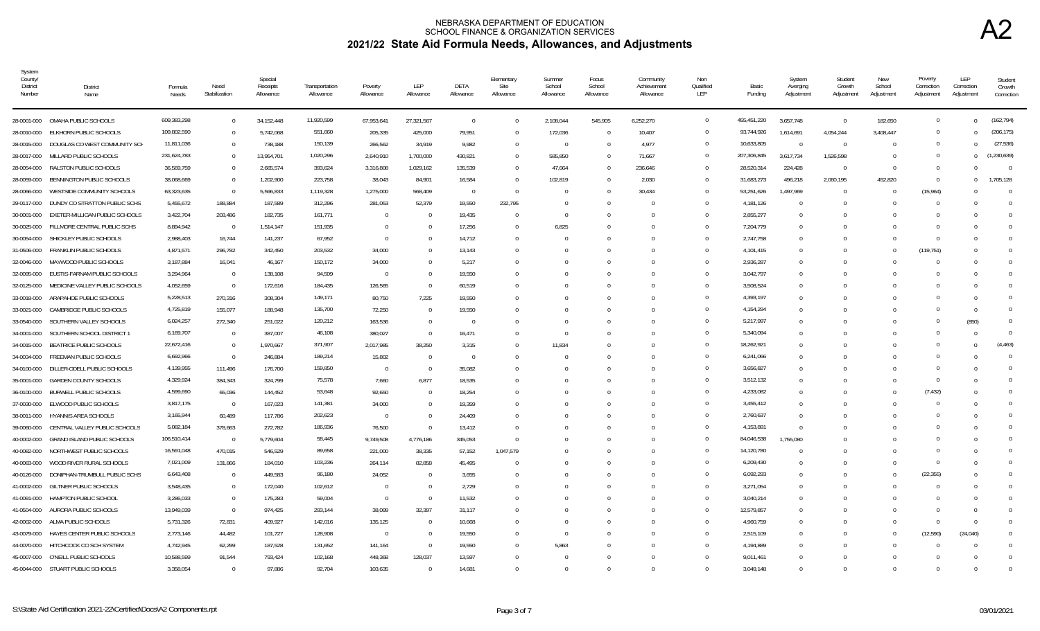| System<br>County/<br>District<br>Number | District<br>Name                   | Formula<br>Needs       | Need<br>Stabilization | Special<br>Receipts<br>Allowance | Transportation<br>Allowance | Poverty<br>Allowance | LEP<br>Allowance | <b>DETA</b><br>Allowance | Elementary<br>Site<br>Allowance | Summer<br>School<br>Allowance | Focus<br>School<br>Allowance | Community<br>Achievement<br>Allowance | Non<br>Qualified<br>LEP | Basic<br>Funding       | System<br>Averging<br>Adjustment | Student<br>Growth<br>Adjustment | New<br>School<br>Adjustment | Poverty<br>Correction<br>Adjustment | LEP<br>Correction<br>Adjustment | Student<br>Growth<br>Correction |
|-----------------------------------------|------------------------------------|------------------------|-----------------------|----------------------------------|-----------------------------|----------------------|------------------|--------------------------|---------------------------------|-------------------------------|------------------------------|---------------------------------------|-------------------------|------------------------|----------------------------------|---------------------------------|-----------------------------|-------------------------------------|---------------------------------|---------------------------------|
| 28-0001-000                             | OMAHA PUBLIC SCHOOLS               | 609,383,298            | $\overline{0}$        | 34, 152, 448                     | 11,920,599                  | 67,953,641           | 27,321,567       | $\overline{0}$           | $\Omega$                        | 2,108,044                     | 545,905                      | 6,252,270                             | $\mathbf{0}$            | 455,451,220            | 3,657,748                        | $\overline{0}$                  | 182,650                     | $\mathbf{0}$                        | $\Omega$                        | (162.794)                       |
| 28-0010-000                             | ELKHORN PUBLIC SCHOOLS             | 109,802,590            | $\overline{0}$        | 5,742,068                        | 551,660                     | 205,335              | 425,000          | 79,951                   | $\Omega$                        | 172,036                       |                              | 10,407                                | $\Omega$                | 93,744,926             | 1,614,691                        | 4,054,244                       | 3,408,447                   |                                     | $\Omega$                        | (206, 175)                      |
| 28-0015-000                             | DOUGLAS CO WEST COMMUNITY SCH      | 11,811,036             | $\Omega$              | 738,188                          | 150,139                     | 266,562              | 34,919           | 9,982                    | $\Omega$                        | $\Omega$                      |                              | 4,977                                 | $\Omega$                | 10,633,805             | $\Omega$                         | $\Omega$                        | $\Omega$                    | $\Omega$                            |                                 | (27.536)                        |
| 28-0017-000                             | MILLARD PUBLIC SCHOOLS             | 231,624,783            | $\overline{0}$        | 13,954,701                       | 1,020,296                   | 2,640,910            | 1,700,000        | 430,821                  | $\Omega$                        | 585,850                       |                              | 71,667                                | $\overline{0}$          | 207,306,845            | 3.617.734                        | 1,526,598                       | $\Omega$                    | $\Omega$                            | $\Omega$                        | (1, 230, 639)                   |
| 28-0054-000                             | RALSTON PUBLIC SCHOOLS             | 36,569,759             | $\overline{0}$        | 2,665,574                        | 393,624                     | 3,316,808            | 1,029,162        | 135,539                  | $\Omega$                        | 47,664                        |                              | 236,646                               | $\Omega$                | 28,520,314             | 224,428                          | $\Omega$                        | $\Omega$                    | $\Omega$                            |                                 | $\overline{0}$                  |
| 28-0059-000                             | BENNINGTON PUBLIC SCHOOLS          | 38,068,669             | $\overline{0}$        | 1,202,900                        | 223,758                     | 38,043               | 84,901           | 16,584                   | $\Omega$                        | 102,819                       |                              | 2,030                                 | $\Omega$                | 31,683,273             | 496,218                          | 2,060,195                       | 452,820                     | $\Omega$                            | $\Omega$                        | 1.705.128                       |
| 28-0066-000                             | WESTSIDE COMMUNITY SCHOOLS         | 63,323,635             | $\overline{0}$        | 5,596,833                        | 1,119,328                   | 1,275,000            | 568,409          | $\overline{0}$           | $\Omega$                        |                               |                              | 30,434                                | $\Omega$                | 53,251,626             | 1,497,969                        | $\Omega$                        |                             | (15, 964)                           |                                 | $\Omega$                        |
| 29-0117-000                             | DUNDY CO STRATTON PUBLIC SCHS      | 5,455,672              | 188,884               | 187,589                          | 312,296                     | 281,053              | 52,379           | 19,550                   | 232,795                         |                               |                              |                                       | $\Omega$                | 4,181,126              | $\Omega$                         | $\Omega$                        |                             |                                     |                                 | $\Omega$                        |
| 30-0001-000                             | EXETER-MILLIGAN PUBLIC SCHOOLS     | 3,422,704              | 203,486               | 182.735                          | 161,771                     | $\Omega$             | $\Omega$         | 19,435                   | $\Omega$                        | - 0                           |                              | $\Omega$                              | $\Omega$                | 2,855,277              | $\overline{0}$                   | $\Omega$                        |                             |                                     |                                 | $\Omega$                        |
| 30-0025-000                             | FILLMORE CENTRAL PUBLIC SCHS       | 8,894,942              | $\overline{0}$        | 1,514,147                        | 151,935                     | $\Omega$             | - 0              | 17,256                   | $\Omega$                        | 6,825                         |                              |                                       | $\Omega$                | 7,204,779              | $\Omega$                         | $\Omega$                        |                             |                                     |                                 | $\Omega$                        |
| 30-0054-000                             | SHICKLEY PUBLIC SCHOOLS            | 2,988,403              | 16,744                | 141,237                          | 67,952                      | $\overline{0}$       |                  | 14,712                   | $\Omega$                        |                               |                              |                                       | $\Omega$                | 2,747,758              | $\Omega$                         | $\Omega$                        |                             |                                     |                                 | $\Omega$                        |
| 31-0506-000                             | FRANKLIN PUBLIC SCHOOLS            | 4,871,571              | 296,782               | 342,450                          | 203,532                     | 34,000               |                  | 13,143                   |                                 |                               |                              |                                       | $\Omega$                | 4,101,415              | $\Omega$                         | $\Omega$                        | $\Omega$                    | (119, 751)                          |                                 |                                 |
| 32-0046-000                             | MAYWOOD PUBLIC SCHOOLS             | 3,187,884              | 16,041                | 46.167                           | 150,172                     | 34.000               |                  | 5,217                    |                                 |                               |                              |                                       | $\Omega$                | 2,936,287              | $\Omega$                         |                                 |                             |                                     |                                 | $\Omega$                        |
| 32-0095-000                             | EUSTIS-FARNAM PUBLIC SCHOOLS       | 3,294,964              | $\overline{0}$        | 138,108                          | 94,509                      | $\overline{0}$       |                  | 19.550                   |                                 |                               |                              |                                       | $\Omega$                | 3,042,797              | $\Omega$                         |                                 |                             |                                     |                                 | $\Omega$                        |
| 32-0125-000                             | MEDICINE VALLEY PUBLIC SCHOOLS     | 4,052,659              | $\overline{0}$        | 172,616                          | 184,435                     | 126,565              | $\Omega$         | 60,519                   |                                 |                               |                              |                                       | $\Omega$                | 3,508,524              | $\Omega$                         |                                 |                             |                                     |                                 | $\Omega$                        |
| 33-0018-000                             | ARAPAHOE PUBLIC SCHOOLS            | 5,228,513              | 270,316               | 308,304                          | 149,171                     | 80,750               | 7,225            | 19,550                   |                                 |                               |                              |                                       | $\Omega$                | 4,393,197              | $\Omega$                         |                                 |                             |                                     |                                 | $\Omega$                        |
| 33-0021-000                             | CAMBRIDGE PUBLIC SCHOOLS           | 4,725,819              | 155,077               | 188,948                          | 135,700                     | 72,250               | 0                | 19,550                   |                                 |                               |                              |                                       | $\Omega$                | 4,154,294              | $^{\circ}$                       | n                               |                             |                                     | - 0                             | $\Omega$                        |
| 33-0540-000                             | SOUTHERN VALLEY SCHOOLS            | 6,024,257              | 272,340               | 251,022                          | 120,212                     | 163,536              | $\Omega$         | $\Omega$                 |                                 |                               |                              |                                       | $\Omega$                | 5,217,997              | $\Omega$                         | $\Omega$                        |                             |                                     | (850)                           | $\Omega$                        |
| 34-0001-000                             | SOUTHERN SCHOOL DISTRICT 1         | 6,169,707              | $\overline{0}$        | 387,007                          | 46,108                      | 380,027              | $\Omega$         | 16,471                   |                                 |                               |                              |                                       | $\Omega$                | 5,340,094              | $\Omega$                         | $\Omega$                        |                             |                                     |                                 | $\Omega$                        |
| 34-0015-000                             | <b>BEATRICE PUBLIC SCHOOLS</b>     | 22,672,416             | $\overline{0}$        | 1,970,667                        | 371,907                     | 2,017,985            | 38,250           | 3,315                    | $\Omega$                        | 11,834                        |                              |                                       | $\Omega$                | 18,262,921             | $\Omega$                         | $\sqrt{ }$                      |                             |                                     |                                 | (4, 463)                        |
| 34-0034-000                             | FREEMAN PUBLIC SCHOOLS             | 6,692,966              | $\overline{0}$        | 246,884                          | 189,214                     | 15,802               | $\overline{0}$   | 0                        | $\Omega$                        |                               |                              |                                       | $\Omega$                | 6,241,066              | $^{\circ}$                       | -0                              |                             |                                     |                                 | $\Omega$                        |
| 34-0100-000                             | DILLER-ODELL PUBLIC SCHOOLS        | 4,139,955              | 111,496               | 176,700                          | 159,850                     | $\Omega$             | $\cap$           | 35,082                   |                                 |                               |                              |                                       | $\Omega$                | 3,656,827              | $\Omega$                         | n                               |                             | $\cap$                              |                                 | $\Omega$                        |
| 35-0001-000                             | <b>GARDEN COUNTY SCHOOLS</b>       | 4,329,924              | 384,343               | 324,799                          | 75,578                      | 7,660                | 6,877            | 18,535                   |                                 |                               |                              |                                       | $\Omega$                | 3,512,132              | $\Omega$                         | n                               |                             | $\Omega$                            |                                 | $\Omega$                        |
| 36-0100-000                             | <b>BURWELL PUBLIC SCHOOLS</b>      | 4,599,690              | 65,036                | 144,452                          | 53,648                      | 92,650               | $\Omega$         | 18,254                   | $\cap$                          |                               |                              | $\Omega$                              | $\Omega$                | 4,233,082              | $\Omega$                         | $\Omega$                        | $\Omega$                    | (7, 432)                            |                                 | $\Omega$                        |
| 37-0030-000                             | ELWOOD PUBLIC SCHOOLS              | 3,817,175              | $\overline{0}$        | 167,023                          | 141,381                     | 34,000               |                  | 19,359                   |                                 |                               |                              |                                       | $\Omega$                | 3,455,412              | $\Omega$                         | $\Omega$                        |                             |                                     |                                 | $\Omega$                        |
| 38-0011-000                             | HYANNIS AREA SCHOOLS               | 3,165,944              | 60,489                | 117,786                          | 202,623                     | $\overline{0}$       | $\bigcap$        | 24,409                   | $\Omega$                        |                               |                              |                                       | $\Omega$                | 2,760,637              | $\Omega$                         | -0                              |                             |                                     |                                 |                                 |
| 39-0060-000                             | CENTRAL VALLEY PUBLIC SCHOOLS      | 5,082,184              | 378,663               | 272,782                          | 186,936                     | 76,500               | $\Omega$         | 13,412                   | $\cap$                          |                               |                              |                                       | $\Omega$                | 4,153,891              | $\Omega$                         | $\Omega$                        |                             |                                     |                                 | $\Omega$                        |
| 40-0002-000                             | <b>GRAND ISLAND PUBLIC SCHOOLS</b> | 106,510,414            | $\overline{0}$        | 5,779,604                        | 58,445                      | 9,749,508            | 4,776,186        | 345.053                  | $\Omega$                        |                               |                              |                                       | $\Omega$                | 84,046,538             | 1.755.080                        |                                 |                             |                                     |                                 | $\Omega$                        |
| 40-0082-000                             | NORTHWEST PUBLIC SCHOOLS           | 16,591,048             | 470,015               | 546,529                          | 89,658                      | 221,000              | 38,335           | 57,152                   | 1,047,579                       |                               |                              |                                       | $\Omega$<br>$\Omega$    | 14,120,780             | $\Omega$                         | $\Omega$                        |                             |                                     |                                 |                                 |
| 40-0083-000                             | WOOD RIVER RURAL SCHOOLS           | 7,021,009              | 131,866               | 184,010                          | 103,236                     | 264,114              | 82,858           | 45,495                   |                                 |                               |                              |                                       |                         | 6,209,430              | $\Omega$                         | $\Omega$                        |                             | $\Omega$                            |                                 | $\Omega$                        |
| 40-0126-000                             | DONIPHAN-TRUMBULL PUBLIC SCHS      | 6,643,408<br>3,548,435 | $\overline{0}$        | 449,583                          | 96,180                      | 24,052               |                  | 3,655                    |                                 |                               |                              |                                       | $\Omega$<br>$\Omega$    | 6,092,293<br>3,271,054 | $\Omega$                         |                                 |                             | (22, 355)                           |                                 | $\Omega$<br>$\Omega$            |
| 41-0002-000                             | <b>GILTNER PUBLIC SCHOOLS</b>      |                        | $\overline{0}$        | 172,040                          | 102,612                     | $\Omega$             | $\overline{0}$   | 2,729                    |                                 |                               |                              |                                       | $\Omega$                |                        | $^{\circ}$                       | $\Omega$                        |                             |                                     |                                 | $\Omega$                        |
| 41-0091-000                             | HAMPTON PUBLIC SCHOOL              | 3,286,033              | $\overline{0}$        | 175,283                          | 59,004                      | $\overline{0}$       | $\Omega$         | 11,532                   |                                 |                               |                              |                                       |                         | 3,040,214              | $\Omega$                         | $\Omega$                        |                             |                                     |                                 | $\Omega$                        |
| 41-0504-000                             | AURORA PUBLIC SCHOOLS              | 13,949,039             | $\overline{0}$        | 974,425                          | 293,144                     | 38,099               | 32,397           | 31,117                   |                                 |                               |                              |                                       | $\Omega$<br>$\Omega$    | 12,579,857             | $\Omega$                         | $\Omega$                        |                             |                                     |                                 |                                 |
| 42-0002-000                             | ALMA PUBLIC SCHOOLS                | 5,731,326              | 72,831                | 409,927                          | 142,016                     | 135,125              | - 0              | 10,668                   |                                 |                               |                              |                                       |                         | 4,960,759              | $^{\circ}$                       | $\Omega$                        |                             | $\Omega$                            | - 0                             | $\Omega$                        |
| 43-0079-000                             | HAYES CENTER PUBLIC SCHOOLS        | 2,773,146              | 44,482                | 101,727                          | 128,908                     | $\Omega$             | $\Omega$         | 19,550                   |                                 |                               |                              |                                       | $\Omega$                | 2,515,109              | $^{\circ}$                       | $\Omega$                        |                             | (12,590)                            | (24, 040)                       | $\Omega$                        |
| 44-0070-000                             | HITCHCOCK CO SCH SYSTEM            | 4,742,945              | 62,299                | 187,528                          | 131,652                     | 141,164              | - 0              | 19,550                   | $\Omega$                        | 5,863                         |                              |                                       | $\Omega$                | 4,194,889              | $\Omega$                         | n                               |                             |                                     |                                 | $\Omega$                        |
| 45-0007-000                             | O'NEILL PUBLIC SCHOOLS             | 10,588,599             | 91,544                | 793,424                          | 102,168                     | 448,368              | 128,037          | 13,597                   |                                 |                               |                              |                                       | $\Omega$                | 9,011,461              | $\Omega$                         | $\sqrt{ }$                      |                             |                                     |                                 | $\Omega$                        |
|                                         | 45-0044-000 STUART PUBLIC SCHOOLS  | 3.358.054              | $\Omega$              | 97.886                           | 92.704                      | 103.635              | $\Omega$         | 14,681                   | $\Omega$                        |                               |                              | $\Omega$                              | $\Omega$                | 3.049.148              | $\Omega$                         | $\Omega$                        |                             |                                     |                                 |                                 |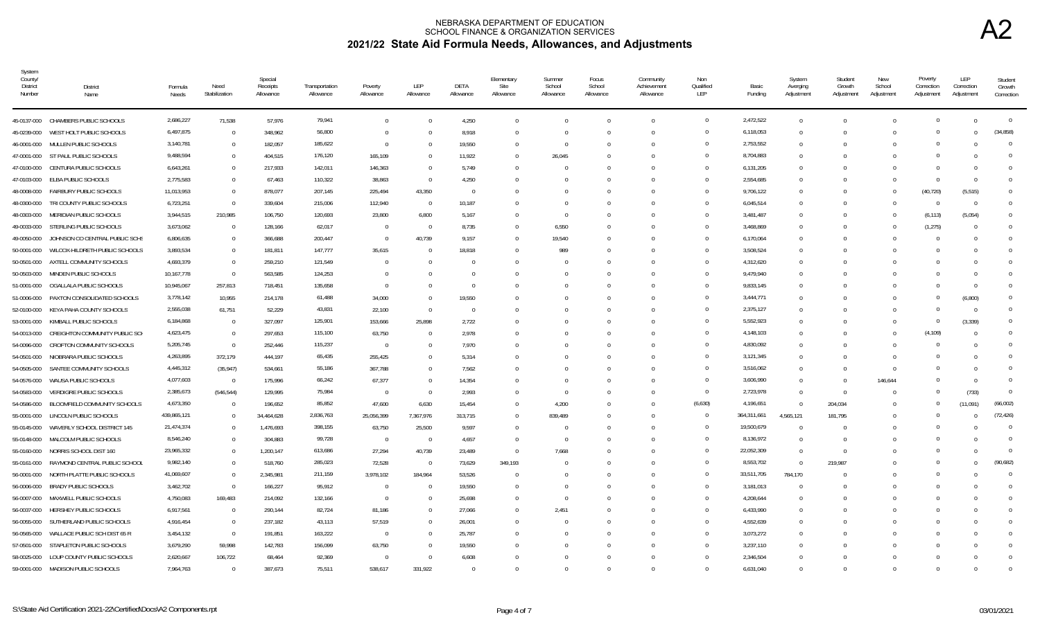| System<br>County/<br><b>District</b><br>Number | District<br>Name                       | Formula<br>Needs | Need<br>Stabilization | Special<br>Receipts<br>Allowance | Transportation<br>Allowance | Poverty<br>Allowance | LEP<br>Allowance | DETA<br>Allowance | Elementary<br>Site<br>Allowance | Summer<br>School<br>Allowance | Focus<br>School<br>Allowance | Community<br>Achievement<br>Allowance | Non<br>Qualified<br>LEP | Basic<br>Funding | System<br>Averging<br>Adjustment | Student<br>Growth<br>Adjustment | New<br>School<br>Adjustment | Poverty<br>Correction<br>Adjustment | LEP<br>Correction<br>Adjustment | Student<br>Growth<br>Correction |
|------------------------------------------------|----------------------------------------|------------------|-----------------------|----------------------------------|-----------------------------|----------------------|------------------|-------------------|---------------------------------|-------------------------------|------------------------------|---------------------------------------|-------------------------|------------------|----------------------------------|---------------------------------|-----------------------------|-------------------------------------|---------------------------------|---------------------------------|
|                                                | 45-0137-000 CHAMBERS PUBLIC SCHOOLS    | 2,686,227        | 71,538                | 57,976                           | 79,941                      | $\Omega$             |                  | 4,250             | $\Omega$                        |                               |                              | $\Omega$                              | $\overline{0}$          | 2,472,522        | $\Omega$                         | $\Omega$                        |                             | $\Omega$                            | $\Omega$                        | $\mathbf{0}$                    |
| 45-0239-000                                    | WEST HOLT PUBLIC SCHOOLS               | 6,497,875        | $\Omega$              | 348,962                          | 56,800                      | $\Omega$             |                  | 8,918             | $\Omega$                        |                               | $\Omega$                     | $\Omega$                              | $\overline{0}$          | 6,118,053        | $\Omega$                         | $\Omega$                        |                             | $\cap$                              | $\Omega$                        | (34, 858)                       |
|                                                | 46-0001-000 MULLEN PUBLIC SCHOOLS      | 3,140,781        | $\overline{0}$        | 182,057                          | 185,622                     | $\Omega$             |                  | 19,550            | 0                               |                               | 0                            | $\Omega$                              | $\overline{0}$          | 2,753,552        |                                  |                                 |                             |                                     |                                 | $\mathbf 0$                     |
|                                                | 47-0001-000 ST PAUL PUBLIC SCHOOLS     | 9,488,594        | $\Omega$              | 404,515                          | 176,120                     | 165,109              |                  | 11,922            | $\Omega$                        | 26,045                        |                              |                                       | $\Omega$                | 8,704,883        |                                  |                                 |                             |                                     |                                 | $\Omega$                        |
| 47-0100-000                                    | CENTURA PUBLIC SCHOOLS                 | 6,643,261        | $\Omega$              | 217,933                          | 142,011                     | 146,363              |                  | 5,749             | $\Omega$                        |                               |                              |                                       | $\Omega$                | 6,131,205        |                                  |                                 |                             |                                     |                                 | $\Omega$                        |
|                                                | 47-0103-000 ELBA PUBLIC SCHOOLS        | 2,775,583        | $\Omega$              | 67,463                           | 110,322                     | 38,863               | $\Omega$         | 4,250             |                                 |                               |                              |                                       | $\Omega$                | 2,554,685        | $\Omega$                         | $\Omega$                        |                             | $\Omega$                            | $\Omega$                        | $\Omega$                        |
| 48-0008-000                                    | FAIRBURY PUBLIC SCHOOLS                | 11,013,953       | $\Omega$              | 878,077                          | 207,145                     | 225,494              | 43,350           | $\Omega$          |                                 |                               |                              | $\Omega$                              | $\Omega$                | 9,706,122        |                                  |                                 |                             | (40, 720)                           | (5, 515)                        | $\Omega$                        |
| 48-0300-000                                    | TRI COUNTY PUBLIC SCHOOLS              | 6,723,251        | $\Omega$              | 339,604                          | 215,006                     | 112,940              | $\Omega$         | 10,187            |                                 |                               |                              |                                       | $\overline{0}$          | 6,045,514        |                                  |                                 |                             |                                     | $\Omega$                        | $\Omega$                        |
| 48-0303-000                                    | MERIDIAN PUBLIC SCHOOLS                | 3,944,515        | 210,985               | 106,750                          | 120,693                     | 23,800               | 6,800            | 5,167             | $\Omega$                        |                               | $\Omega$                     | $\Omega$                              | $\Omega$                | 3.481.487        | $\cap$                           | - 0                             |                             | (6, 113)                            | (5,054)                         | $\Omega$                        |
|                                                | 49-0033-000 STERLING PUBLIC SCHOOLS    | 3,673,062        | $\Omega$              | 128,166                          | 62,017                      | $\Omega$             | $\bigcap$        | 8,735             | <sup>0</sup>                    | 6,550                         |                              |                                       | $\Omega$                | 3,468,869        |                                  |                                 |                             | (1, 275)                            | $\Omega$                        |                                 |
| 49-0050-000                                    | JOHNSON CO CENTRAL PUBLIC SCHS         | 6,806,635        | $\Omega$              | 366,688                          | 200,447                     | $\Omega$             | 40,739           | 9,157             | $\Omega$                        | 19,540                        |                              |                                       | $\mathbf 0$             | 6,170,064        | $\Omega$                         | - 0                             |                             |                                     |                                 |                                 |
| 50-0001-000                                    | WILCOX-HILDRETH PUBLIC SCHOOLS         | 3,893,534        | $\Omega$              | 181,811                          | 147,777                     | 35,615               |                  | 18,818            |                                 | 989                           |                              |                                       | $\Omega$                | 3,508,524        |                                  |                                 |                             |                                     |                                 |                                 |
| 50-0501-000                                    | AXTELL COMMUNITY SCHOOLS               | 4,693,379        | $\Omega$              | 259,210                          | 121,549                     |                      |                  | $\Omega$          |                                 |                               |                              |                                       | $\Omega$                | 4,312,620        |                                  |                                 |                             |                                     |                                 | $\Omega$                        |
| 50-0503-000                                    | MINDEN PUBLIC SCHOOLS                  | 10,167,778       | $\Omega$              | 563,585                          | 124,253                     |                      |                  | $\Omega$          |                                 |                               |                              |                                       | $\overline{0}$          | 9,479,940        |                                  |                                 |                             |                                     |                                 | <sup>0</sup>                    |
| 51-0001-000                                    | OGALLALA PUBLIC SCHOOLS                | 10,945,067       | 257,813               | 718,451                          | 135,658                     | $\Omega$             |                  | $\Omega$          |                                 |                               |                              |                                       | $\overline{0}$          | 9,833,145        |                                  |                                 |                             |                                     |                                 | $\Omega$                        |
| 51-0006-000                                    | PAXTON CONSOLIDATED SCHOOLS            | 3,778,142        | 10,955                | 214,178                          | 61,488                      | 34,000               |                  | 19,550            |                                 |                               |                              |                                       | $\overline{0}$          | 3,444,771        |                                  |                                 |                             | $\cap$                              | (6,800)                         | $\Omega$                        |
| 52-0100-000                                    | KEYA PAHA COUNTY SCHOOLS               | 2,555,038        | 61,751                | 52,229                           | 43,831                      | 22,100               | $\Omega$         | $\Omega$          |                                 |                               |                              |                                       | $\overline{0}$          | 2,375,127        |                                  |                                 |                             |                                     | $\overline{0}$                  | $\Omega$                        |
| 53-0001-000                                    | KIMBALL PUBLIC SCHOOLS                 | 6,184,868        | $\Omega$              | 327,097                          | 125,901                     | 153,666              | 25,898           | 2,722             |                                 |                               |                              |                                       | $\overline{0}$          | 5,552,923        |                                  |                                 |                             | $\Omega$                            | (3, 339)                        | 0                               |
| 54-0013-000                                    | CREIGHTON COMMUNITY PUBLIC SCH         | 4,623,475        | $\overline{0}$        | 297,653                          | 115,100                     | 63,750               |                  | 2,978             |                                 |                               |                              |                                       | $\overline{0}$          | 4,148,103        |                                  |                                 |                             | (4, 109)                            |                                 |                                 |
| 54-0096-000                                    | CROFTON COMMUNITY SCHOOLS              | 5,205,745        | $\overline{0}$        | 252,446                          | 115,237                     | $\Omega$             |                  | 7,970             |                                 |                               |                              | $\Omega$                              | $\Omega$                | 4,830,092        |                                  |                                 |                             |                                     | $\cap$                          |                                 |
|                                                | 54-0501-000 NIOBRARA PUBLIC SCHOOLS    | 4,263,895        | 372,179               | 444,197                          | 65,435                      | 255,425              |                  | 5,314             |                                 |                               |                              |                                       | $\Omega$                | 3,121,345        |                                  | $\cap$                          |                             |                                     |                                 |                                 |
| 54-0505-000                                    | SANTEE COMMUNITY SCHOOLS               | 4,445,312        | (35, 947)             | 534,661                          | 55,186                      | 367,788              |                  | 7,562             |                                 |                               |                              | $\Omega$                              | $\Omega$                | 3,516,062        | $\Omega$                         | $\Omega$                        |                             |                                     |                                 |                                 |
| 54-0576-000                                    | WAUSA PUBLIC SCHOOLS                   | 4,077,603        | $\overline{0}$        | 175,996                          | 66,242                      | 67,377               |                  | 14,354            |                                 |                               |                              |                                       | $\overline{0}$          | 3,606,990        | $\Omega$                         | $\Omega$                        | 146,644                     |                                     | $\Omega$                        | $\Omega$                        |
| 54-0583-000                                    | VERDIGRE PUBLIC SCHOOLS                | 2,385,673        | (546, 544)            | 129,995                          | 75,984                      | $\Omega$             | $\bigcap$        | 2,993             |                                 |                               |                              |                                       | $\overline{0}$          | 2,723,978        | $\Omega$                         | $\Omega$                        |                             |                                     | (733)                           | $\Omega$                        |
| 54-0586-000                                    | BLOOMFIELD COMMUNITY SCHOOLS           | 4,673,350        | $\Omega$              | 196,652                          | 85,852                      | 47,600               | 6,630            | 15,454            | 0                               | 4,200                         |                              | $\cap$                                | (6,630)                 | 4,196,651        | $\cap$                           | 204,034                         |                             |                                     | (11,091)                        | (66.002)                        |
| 55-0001-000                                    | LINCOLN PUBLIC SCHOOLS                 | 439,865,121      | $\Omega$              | 34,464,628                       | 2,836,763                   | 25,056,399           | 7,367,976        | 313,715           | $\Omega$                        | 839,489                       |                              |                                       | $\overline{0}$          | 364,311,661      | 4.565.121                        | 181.795                         |                             |                                     |                                 | (72, 426)                       |
| 55-0145-000                                    | WAVERLY SCHOOL DISTRICT 145            | 21,474,374       | $\Omega$              | 1,476,693                        | 398,155                     | 63,750               | 25,500           | 9,597             |                                 |                               |                              |                                       | $\Omega$                | 19,500,679       |                                  | $\sqrt{ }$                      |                             |                                     |                                 | $\Omega$                        |
| 55-0148-000                                    | MALCOLM PUBLIC SCHOOLS                 | 8,546,240        | $\Omega$              | 304,883                          | 99,728                      | $\Omega$             | - 0              | 4,657             | $\Omega$                        | $\bigcap$                     |                              |                                       | $\Omega$                | 8,136,972        | $\Omega$                         | $\Omega$                        |                             |                                     |                                 | $\Omega$                        |
| 55-0160-000                                    | NORRIS SCHOOL DIST 160                 | 23,965,332       | $\Omega$              | 1,200,147                        | 613,686                     | 27,294               | 40,739           | 23,489            | $\Omega$                        | 7,668                         |                              |                                       | $\overline{0}$          | 22,052,309       | $\Omega$                         | $\Omega$                        |                             |                                     |                                 | $\mathbf 0$                     |
| 55-0161-000                                    | RAYMOND CENTRAL PUBLIC SCHOOL          | 9,982,140        | $\overline{0}$        | 518,760                          | 285,023                     | 72,528               | - 0              | 73,629            | 349,193                         |                               |                              |                                       | $\overline{0}$          | 8,553,702        | $\Omega$                         | 219,987                         |                             | $\cap$                              |                                 | (90, 682)                       |
| 56-0001-000                                    | NORTH PLATTE PUBLIC SCHOOLS            | 41,069,607       | $\Omega$              | 2,345,981                        | 211,159                     | 3,978,102            | 184,964          | 53,526            |                                 |                               |                              |                                       | $\overline{0}$          | 33,511,705       | 784,170                          |                                 |                             | $\cap$                              |                                 | $\Omega$                        |
| 56-0006-000                                    | BRADY PUBLIC SCHOOLS                   | 3,462,702        | $\Omega$              | 166,227                          | 95,912                      | $\Omega$             | - 0              | 19,550            |                                 |                               |                              |                                       | $\overline{0}$          | 3,181,013        |                                  |                                 |                             | $\cap$                              |                                 | $\Omega$                        |
| 56-0007-000                                    | MAXWELL PUBLIC SCHOOLS                 | 4,750,083        | 169,483               | 214,092                          | 132,166                     | $\Omega$             |                  | 25,698            |                                 |                               |                              |                                       | $\overline{0}$          | 4,208,644        |                                  |                                 |                             | $\cap$                              |                                 | $\Omega$                        |
| 56-0037-000                                    | HERSHEY PUBLIC SCHOOLS                 | 6,917,561        | $\Omega$              | 290,144                          | 82,724                      | 81,186               |                  | 27,066            |                                 | 2,451                         |                              |                                       | $\Omega$                | 6,433,990        |                                  |                                 |                             |                                     |                                 | <sup>0</sup>                    |
| 56-0055-000                                    | SUTHERLAND PUBLIC SCHOOLS              | 4,916,454        | $\Omega$              | 237,182                          | 43,113                      | 57,519               |                  | 26,001            |                                 |                               |                              |                                       | $\Omega$                | 4,552,639        |                                  |                                 |                             |                                     |                                 | 0                               |
| 56-0565-000                                    | WALLACE PUBLIC SCH DIST 65 R           | 3,454,132        | $\Omega$              | 191,851                          | 163,222                     | $\Omega$             |                  | 25,787            |                                 |                               |                              |                                       | $\Omega$                | 3,073,272        |                                  |                                 |                             |                                     |                                 | <sup>n</sup>                    |
|                                                | 57-0501-000 STAPLETON PUBLIC SCHOOLS   | 3,679,290        | 59,998                | 142,783                          | 156,099                     | 63,750               |                  | 19,550            |                                 |                               | <sup>n</sup>                 | $\Omega$                              | $\Omega$                | 3,237,110        | $\cap$                           | - ( )                           |                             |                                     |                                 |                                 |
|                                                | 58-0025-000 LOUP COUNTY PUBLIC SCHOOLS | 2,620,667        | 106,722               | 68,464                           | 92,369                      | $\Omega$             |                  | 6,608             |                                 |                               |                              |                                       | $\Omega$                | 2,346,504        |                                  |                                 |                             |                                     | $\Omega$                        | $\Omega$                        |
|                                                | 59-0001-000 MADISON PUBLIC SCHOOLS     | 7,964,763        |                       | 387.673                          | 75,511                      | 538.617              | 331,922          | $\Omega$          |                                 |                               |                              |                                       | $\Omega$                | 6,631,040        |                                  |                                 |                             |                                     |                                 |                                 |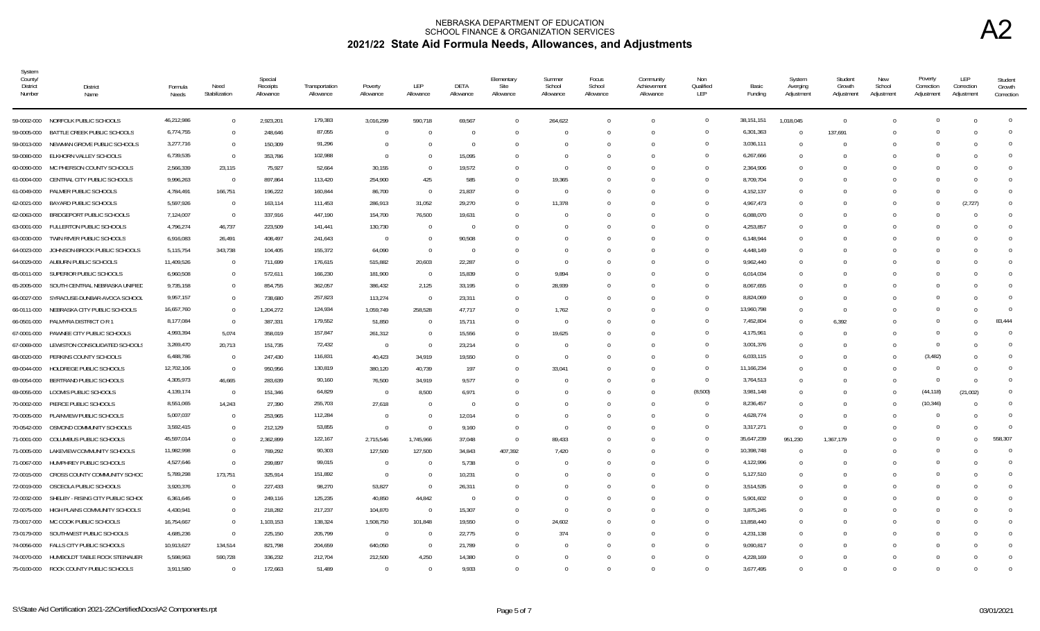| System<br>County/<br>District<br>Number | District<br>Name                       | Formula<br>Needs | Need<br>Stabilization | Special<br>Receipts<br>Allowance | Transportation<br>Allowance | Poverty<br>Allowance | LEP<br>Allowance         | DETA<br>Allowance        | Elementary<br>Site<br>Allowance | Summer<br>School<br>Allowance | Focus<br>School<br>Allowance | Community<br>Achievement<br>Allowance | Non<br>Qualified<br>LEP | Basic<br>Funding | System<br>Averging<br>Adjustment | Student<br>Growth<br>Adjustment | New<br>School<br>Adjustment | Poverty<br>Correction<br>Adjustment | LEP<br>Correction<br>Adjustment | Student<br>Growth<br>Correction |
|-----------------------------------------|----------------------------------------|------------------|-----------------------|----------------------------------|-----------------------------|----------------------|--------------------------|--------------------------|---------------------------------|-------------------------------|------------------------------|---------------------------------------|-------------------------|------------------|----------------------------------|---------------------------------|-----------------------------|-------------------------------------|---------------------------------|---------------------------------|
|                                         | 59-0002-000 NORFOLK PUBLIC SCHOOLS     | 46,212,986       | $\Omega$              | 2,923,201                        | 179,383                     | 3,016,299            | 590,718                  | 69,567                   | $\Omega$                        | 264,622                       | $\Omega$                     | $\Omega$                              | $\overline{0}$          | 38,151,151       | 1,018,045                        | $\Omega$                        |                             | $\Omega$                            | $\Omega$                        | $\Omega$                        |
| 59-0005-000                             | BATTLE CREEK PUBLIC SCHOOLS            | 6,774,755        | $\Omega$              | 248,646                          | 87,055                      | $\Omega$             | - 0                      | $\Omega$                 | $\cup$                          |                               |                              | <sup>0</sup>                          | $\Omega$                | 6,301,363        | $\Omega$                         | 137,691                         |                             |                                     |                                 |                                 |
| 59-0013-000                             | NEWMAN GROVE PUBLIC SCHOOLS            | 3,277,716        | $\Omega$              | 150,309                          | 91,296                      | $\overline{0}$       | - 0                      | $\overline{0}$           |                                 |                               |                              | <sup>0</sup>                          | $\Omega$                | 3,036,111        | $\Omega$                         | $\Omega$                        |                             |                                     |                                 | <sup>0</sup>                    |
| 59-0080-000                             | ELKHORN VALLEY SCHOOLS                 | 6,739,535        | $\overline{0}$        | 353,786                          | 102,988                     | $\Omega$             | $\Omega$                 | 15,095                   |                                 |                               |                              |                                       | $\Omega$                | 6,267,666        |                                  | -0                              |                             |                                     |                                 |                                 |
| 60-0090-000                             | MC PHERSON COUNTY SCHOOLS              | 2,566,339        | 23,115                | 75,927                           | 52,664                      | 30,155               | - 0                      | 19,572                   | $\Omega$                        |                               |                              | U                                     | $\Omega$                | 2,364,906        | $\cap$                           | - 0                             |                             |                                     |                                 |                                 |
| 61-0004-000                             | CENTRAL CITY PUBLIC SCHOOLS            | 9,996,263        | $\overline{0}$        | 897,864                          | 113,420                     | 254,900              | 425                      | 585                      | $\Omega$                        | 19,365                        |                              |                                       | $\Omega$                | 8,709,704        | $\Omega$                         | - 0                             |                             |                                     | $\Omega$                        |                                 |
| 61-0049-000                             | PALMER PUBLIC SCHOOLS                  | 4,784,491        | 166,751               | 196,222                          | 160,844                     | 86,700               | $\overline{0}$           | 21,837                   | $\Omega$                        | $\bigcap$                     |                              | $\Omega$                              | $\Omega$                | 4,152,137        | $\Omega$                         | $\Omega$                        |                             |                                     | $\Omega$                        |                                 |
| 62-0021-000                             | BAYARD PUBLIC SCHOOLS                  | 5,597,926        | $\overline{0}$        | 163,114                          | 111,453                     | 286,913              | 31,052                   | 29,270                   | $\Omega$                        | 11,378                        |                              |                                       | $\Omega$                | 4,967,473        | $\Omega$                         | - 0                             |                             |                                     | (2,727)                         |                                 |
| 62-0063-000                             | <b>BRIDGEPORT PUBLIC SCHOOLS</b>       | 7,124,007        | $\overline{0}$        | 337,916                          | 447,190                     | 154,700              | 76,500                   | 19,631                   | $\Omega$                        |                               |                              |                                       | $\Omega$                | 6,088,070        | $\Omega$                         |                                 |                             |                                     |                                 | <sup>0</sup>                    |
| 63-0001-000                             | FULLERTON PUBLIC SCHOOLS               | 4,796,274        | 46,737                | 223,509                          | 141,441                     | 130,730              | $\overline{0}$           | $\overline{0}$           | $\cup$                          |                               |                              |                                       | $\Omega$                | 4,253,857        | $\Omega$                         | - 0                             |                             |                                     |                                 |                                 |
| 63-0030-000                             | TWIN RIVER PUBLIC SCHOOLS              | 6,916,083        | 26,491                | 408,497                          | 241,643                     | $\overline{0}$       | $\Omega$                 | 90,508                   |                                 |                               |                              |                                       | $\overline{0}$          | 6,148,944        |                                  |                                 |                             |                                     |                                 | 0                               |
| 64-0023-000                             | JOHNSON-BROCK PUBLIC SCHOOLS           | 5,115,754        | 343,738               | 104,405                          | 155,372                     | 64,090               | $\Omega$                 | $\overline{0}$           |                                 |                               |                              |                                       | $\mathbf{0}$            | 4,448,149        |                                  |                                 |                             |                                     |                                 | <sup>0</sup>                    |
| 64-0029-000                             | AUBURN PUBLIC SCHOOLS                  | 11,409,526       | $\overline{0}$        | 711,699                          | 176,615                     | 515,882              | 20,603                   | 22,287                   |                                 |                               |                              |                                       | $\Omega$                | 9,962,440        | $\Omega$                         |                                 |                             |                                     |                                 |                                 |
| 65-0011-000                             | SUPERIOR PUBLIC SCHOOLS                | 6,960,508        | $\Omega$              | 572,611                          | 166,230                     | 181,900              | $\overline{0}$           | 15,839                   | $\Omega$                        | 9,894                         |                              |                                       | $\Omega$                | 6,014,034        |                                  |                                 |                             |                                     |                                 | $\Omega$                        |
| 65-2005-000                             | SOUTH CENTRAL NEBRASKA UNIFIED         | 9,735,158        | $\Omega$              | 854,755                          | 362,057                     | 386,432              | 2,125                    | 33,195                   | $\Omega$                        | 28,939                        |                              |                                       | $\Omega$                | 8,067,655        | $\Omega$                         | $\Omega$                        |                             |                                     |                                 |                                 |
| 66-0027-000                             | SYRACUSE-DUNBAR-AVOCA SCHOOL           | 9,957,157        | $\Omega$              | 738,680                          | 257,823                     | 113,274              | $\overline{0}$           | 23,311                   | $\Omega$                        | - 0                           |                              | <sup>0</sup>                          | $\overline{0}$          | 8,824,069        | $\Omega$                         | $\Omega$                        |                             | $\cap$                              |                                 | $\Omega$                        |
| 66-0111-000                             | NEBRASKA CITY PUBLIC SCHOOLS           | 16,657,760       | $\Omega$              | 1,204,272                        | 124,934                     | 1,059,749            | 258,528                  | 47,717                   | $\Omega$                        | 1,762                         |                              |                                       | $\Omega$                | 13,960,798       | $\Omega$                         | $\Omega$                        |                             |                                     |                                 | $\Omega$                        |
| 66-0501-000                             | PALMYRA DISTRICT O R 1                 | 8,177,084        | $\overline{0}$        | 387,331                          | 179,552                     | 51,850               | - 0                      | 15,711                   | $\Omega$                        | - 0                           |                              |                                       | $\overline{0}$          | 7,452,804        | $\Omega$                         | 6,392                           |                             |                                     | $\Omega$                        | 83.444                          |
| 67-0001-000                             | PAWNEE CITY PUBLIC SCHOOLS             | 4,993,394        | 5,074                 | 358,019                          | 157,847                     | 261,312              | - 0                      | 15,556                   | $\Omega$                        | 19,625                        |                              |                                       | $\Omega$                | 4,175,961        | $\cap$                           | -0                              |                             |                                     |                                 | $\Omega$                        |
| 67-0069-000                             | LEWISTON CONSOLIDATED SCHOOLS          | 3,269,470        | 20,713                | 151,735                          | 72,432                      | $\overline{0}$       | $\sqrt{ }$               | 23,214                   | $\Omega$                        | - 0                           |                              |                                       | $\Omega$                | 3,001,376        | $\Omega$                         | - 0                             |                             | $\Omega$                            |                                 | $\Omega$                        |
| 68-0020-000                             | PERKINS COUNTY SCHOOLS                 | 6,488,786        | $\overline{0}$        | 247,430                          | 116,831                     | 40,423               | 34,919                   | 19,550                   | $\Omega$                        | $\bigcap$                     |                              |                                       | $\Omega$                | 6,033,115        | $\Omega$                         | - ( )                           |                             | (3, 482)                            |                                 |                                 |
| 69-0044-000                             | HOLDREGE PUBLIC SCHOOLS                | 12,702,106       | $\overline{0}$        | 950,956                          | 130,819                     | 380,120              | 40,739                   | 197                      | $\Omega$                        | 33,041                        |                              |                                       | $\overline{0}$          | 11,166,234       | $\Omega$                         | $\Omega$                        |                             |                                     |                                 | $\Omega$                        |
| 69-0054-000                             | BERTRAND PUBLIC SCHOOLS                | 4,305,973        | 46,665                | 283,639                          | 90,160                      | 76,500               | 34,919                   | 9,577                    |                                 |                               |                              |                                       | $\overline{0}$          | 3,764,513        |                                  |                                 |                             | $\Omega$                            |                                 | $\Omega$                        |
| 69-0055-000                             | LOOMIS PUBLIC SCHOOLS                  | 4,139,174        | $\overline{0}$        | 151,346                          | 64,829                      | $\overline{0}$       | 8,500                    | 6,971                    |                                 |                               |                              |                                       | (8,500)                 | 3,981,148        |                                  |                                 |                             | (44, 118)                           | (21,002)                        |                                 |
| 70-0002-000                             | PIERCE PUBLIC SCHOOLS                  | 8,551,065        | 14,243                | 27,390                           | 255,703                     | 27,618               | $\overline{0}$           | $\overline{\phantom{0}}$ |                                 |                               |                              |                                       | $\overline{0}$          | 8,236,457        |                                  | $\Omega$                        |                             | (10, 346)                           |                                 | 0                               |
| 70-0005-000                             | PLAINVIEW PUBLIC SCHOOLS               | 5,007,037        | $\overline{0}$        | 253,965                          | 112,284                     | $\overline{0}$       | - 0                      | 12,014                   | $\Omega$                        |                               |                              |                                       | $\overline{0}$          | 4,628,774        | $\Omega$                         | 0                               |                             |                                     |                                 | <sup>0</sup>                    |
| 70-0542-000                             | OSMOND COMMUNITY SCHOOLS               | 3,592,415        | $\overline{0}$        | 212,129                          | 53,855                      | $\overline{0}$       | - 0                      | 9,160                    | $\Omega$                        |                               |                              |                                       | $\Omega$                | 3,317,271        | $\Omega$                         | 0                               |                             |                                     | $\cap$                          | $\Omega$                        |
| 71-0001-000                             | COLUMBUS PUBLIC SCHOOLS                | 45,597,014       | $\Omega$              | 2,362,899                        | 122,167                     | 2,715,546            | 1,745,966                | 37,048                   | $\Omega$                        | 89,433                        |                              |                                       | $\overline{0}$          | 35,647,239       | 951,230                          | 1,367,179                       |                             | $\cap$                              | $\Omega$                        | 558,307                         |
| 71-0005-000                             | LAKEVIEW COMMUNITY SCHOOLS             | 11,982,998       | $\Omega$              | 789,292                          | 90,303                      | 127,500              | 127,500                  | 34,843                   | 407,392                         | 7,420                         |                              | <sup>0</sup>                          | $\overline{0}$          | 10,398,748       |                                  | $\Omega$                        |                             | $\Omega$                            |                                 | $\Omega$                        |
| 71-0067-000                             | HUMPHREY PUBLIC SCHOOLS                | 4,527,646        | $\Omega$              | 299,897                          | 99,015                      | $\overline{0}$       | - 1                      | 5,738                    | $\Omega$                        |                               |                              |                                       | $\Omega$                | 4,122,996        |                                  |                                 |                             |                                     |                                 | $\Omega$                        |
| 72-0015-000                             | CROSS COUNTY COMMUNITY SCHOO           | 5,789,298        | 173,751               | 325,914                          | 151,892                     | $\overline{0}$       | $\overline{0}$           | 10,231                   | $\Omega$                        |                               |                              |                                       | $\Omega$                | 5,127,510        | $\Omega$                         | - 0                             |                             |                                     |                                 | $\Omega$                        |
| 72-0019-000                             | OSCEOLA PUBLIC SCHOOLS                 | 3,920,376        | $\Omega$              | 227,433                          | 98,270                      | 53,827               | $\overline{0}$           | 26,311                   |                                 |                               |                              |                                       | $\overline{0}$          | 3,514,535        | $\Omega$                         |                                 |                             |                                     |                                 |                                 |
| 72-0032-000                             | SHELBY - RISING CITY PUBLIC SCHOO      | 6,361,645        | $\Omega$              | 249,116                          | 125,235                     | 40,850               | 44,842                   | $\overline{0}$           | $\Omega$                        |                               |                              |                                       | $\mathbf{0}$            | 5,901,602        | $\cap$                           |                                 |                             |                                     |                                 |                                 |
| 72-0075-000                             | HIGH PLAINS COMMUNITY SCHOOLS          | 4,430,941        | $\Omega$              | 218,282                          | 217,237                     | 104,870              | $\overline{\phantom{0}}$ | 15,307                   |                                 |                               |                              |                                       | $\Omega$                | 3,875,245        |                                  |                                 |                             |                                     |                                 |                                 |
| 73-0017-000                             | MC COOK PUBLIC SCHOOLS                 | 16,754,667       | $\Omega$              | 1,103,153                        | 138,324                     | 1,508,750            | 101,848                  | 19,550                   | $\Omega$                        | 24,602                        |                              |                                       | $\Omega$                | 13,858,440       | $\Omega$                         |                                 |                             |                                     |                                 |                                 |
| 73-0179-000                             | SOUTHWEST PUBLIC SCHOOLS               | 4,685,236        | $\Omega$              | 225,150                          | 205,799                     | $\overline{0}$       | $\overline{0}$           | 22,775                   | $\Omega$                        | 374                           |                              |                                       | $\Omega$                | 4,231,138        |                                  |                                 |                             |                                     |                                 | $\Omega$                        |
| 74-0056-000                             | FALLS CITY PUBLIC SCHOOLS              | 10,913,627       | 134,514               | 821,798                          | 204,659                     | 640,050              | $\overline{0}$           | 21,789                   |                                 |                               |                              |                                       | $\overline{0}$          | 9,090,817        | $\Omega$                         | $\Omega$                        |                             |                                     |                                 |                                 |
| 74-0070-000                             | HUMBOLDT TABLE ROCK STEINAUER          | 5,598,963        | 590,728               | 336,232                          | 212,704                     | 212,500              | 4,250                    | 14,380                   |                                 |                               |                              |                                       | $\Omega$                | 4,228,169        |                                  |                                 |                             |                                     |                                 | $\Omega$                        |
|                                         | 75-0100-000 ROCK COUNTY PUBLIC SCHOOLS | 3,911,580        | $\Omega$              | 172,663                          | 51,489                      | $\Omega$             | $\Omega$                 | 9,933                    |                                 |                               |                              |                                       | $\Omega$                | 3,677,495        |                                  | $\Omega$                        |                             |                                     |                                 |                                 |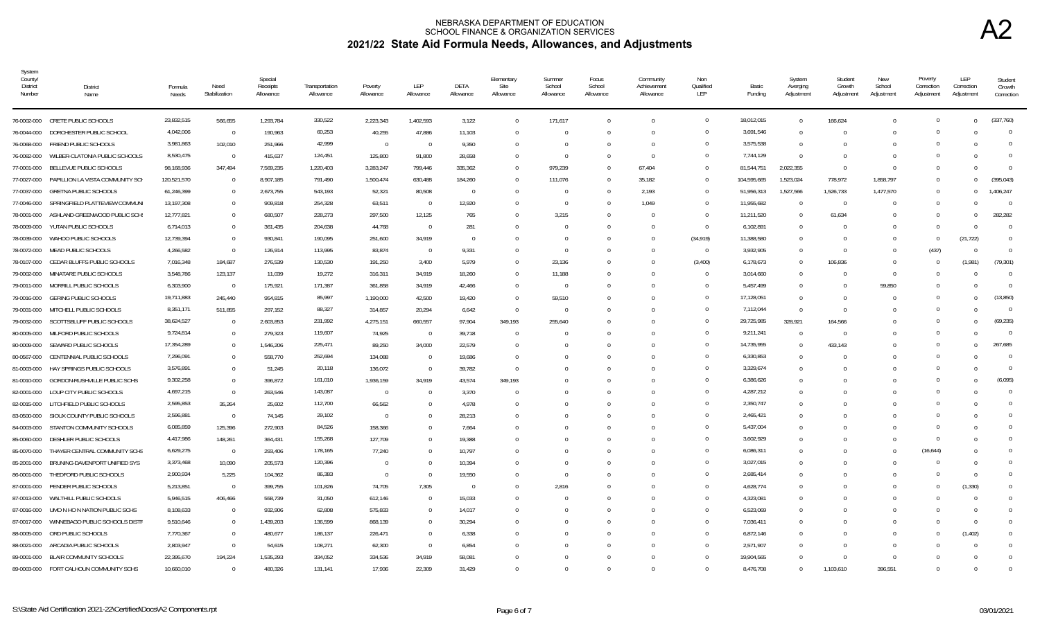| System<br>County/<br>District<br>Number | <b>District</b><br>Name                 | Formula<br>Needs | Need<br>Stabilization | Special<br>Receipts<br>Allowance | Transportation<br>Allowance | Poverty<br>Allowance | LEP<br>Allowance         | DETA<br>Allowance | Elementary<br>Site<br>Allowance | Summer<br>School<br>Allowance | Focus<br>School<br>Allowance | Community<br>Achievement<br>Allowance | Non<br>Qualified<br>LEP | Basic<br>Funding | System<br>Averging<br>Adjustment | Student<br>Growth<br>Adjustment | New<br>School<br>Adjustment | Poverty<br>Correction<br>Adjustment | LEP<br>Correction<br>Adjustment | Student<br>Growth<br>Correction |
|-----------------------------------------|-----------------------------------------|------------------|-----------------------|----------------------------------|-----------------------------|----------------------|--------------------------|-------------------|---------------------------------|-------------------------------|------------------------------|---------------------------------------|-------------------------|------------------|----------------------------------|---------------------------------|-----------------------------|-------------------------------------|---------------------------------|---------------------------------|
|                                         | 76-0002-000 CRETE PUBLIC SCHOOLS        | 23,832,515       | 566,655               | 1,293,784                        | 330,522                     | 2,223,343            | 1,402,593                | 3,122             | $\Omega$                        | 171,617                       |                              | $\Omega$                              | $\overline{0}$          | 18,012,015       | $\Omega$                         | 166,624                         |                             | $\Omega$                            | $\Omega$                        | (337.760)                       |
| 76-0044-000                             | DORCHESTER PUBLIC SCHOOL                | 4,042,006        | $\overline{0}$        | 190,963                          | 60,253                      | 40,255               | 47,886                   | 11,103            | $\Omega$                        |                               |                              | $\Omega$                              | $\Omega$                | 3,691,546        | $\Omega$                         | $\Omega$                        |                             | $\Omega$                            |                                 | $\Omega$                        |
| 76-0068-000                             | FRIEND PUBLIC SCHOOLS                   | 3,981,863        | 102,010               | 251,966                          | 42,999                      | $\overline{0}$       | - 0                      | 9,350             | $\Omega$                        |                               |                              | $\Omega$                              | $\Omega$                | 3,575,538        | $\Omega$                         | -0                              |                             |                                     |                                 | $\Omega$                        |
| 76-0082-000                             | WILBER-CLATONIA PUBLIC SCHOOLS          | 8,530,475        | $\overline{0}$        | 415,637                          | 124,451                     | 125,800              | 91,800                   | 28,658            | $^{\circ}$                      | - 0                           |                              | $\Omega$                              | $\Omega$                | 7,744,129        | $\Omega$                         | 0                               |                             |                                     |                                 | $\Omega$                        |
| 77-0001-000                             | BELLEVUE PUBLIC SCHOOLS                 | 98,168,936       | 347,494               | 7,569,235                        | 1,220,403                   | 3,283,247            | 799,446                  | 335,362           | $\Omega$                        | 979,239                       | $\Omega$                     | 67,404                                | $\overline{0}$          | 81,544,751       | 2,022,355                        | $\Omega$                        | $\cup$                      | $\Omega$                            | $\Omega$                        | $\Omega$                        |
| 77-0027-000                             | PAPILLION LA VISTA COMMUNITY SCH        | 120,521,570      | $\overline{0}$        | 8,907,185                        | 791,490                     | 1,500,474            | 630,488                  | 184,260           | $\Omega$                        | 111,076                       |                              | 35,182                                | $\overline{0}$          | 104,595,665      | 1,523,024                        | 778,972                         | 1,858,797                   | $\Omega$                            | $\Omega$                        | (395.043)                       |
| 77-0037-000                             | <b>GRETNA PUBLIC SCHOOLS</b>            | 61,246,399       | $\Omega$              | 2,673,755                        | 543,193                     | 52,321               | 80,508                   | $\overline{0}$    | $\Omega$                        | - 0                           |                              | 2,193                                 | $\Omega$                | 51,956,313       | 1,527,566                        | 1,526,733                       | 1,477,570                   | $\Omega$                            | $\Omega$                        | 1,406,247                       |
| 77-0046-000                             | SPRINGFIELD PLATTEVIEW COMMUNI          | 13,197,308       | $\Omega$              | 909,818                          | 254,328                     | 63,511               | $\overline{\phantom{0}}$ | 12,920            | $\cup$                          | - 0                           |                              | 1.049                                 | $\Omega$                | 11,955,682       |                                  | $\overline{0}$                  |                             | $\Omega$                            |                                 | $\Omega$                        |
| 78-0001-000                             | ASHLAND-GREENWOOD PUBLIC SCH!           | 12,777,821       | $\Omega$              | 680,507                          | 228,273                     | 297,500              | 12,125                   | 765               | $\Omega$                        | 3,215                         |                              |                                       | $\overline{0}$          | 11,211,520       | $\Omega$                         | 61,634                          |                             |                                     | $\Omega$                        | 282,282                         |
| 78-0009-000                             | YUTAN PUBLIC SCHOOLS                    | 6,714,013        | $\Omega$              | 361,435                          | 204,638                     | 44,768               | $\overline{\phantom{0}}$ | 281               |                                 |                               |                              |                                       | $\overline{0}$          | 6,102,891        | $\Omega$                         | $\Omega$                        |                             |                                     |                                 | $\Omega$                        |
| 78-0039-000                             | WAHOO PUBLIC SCHOOLS                    | 12,739,394       | $\Omega$              | 930,841                          | 190,095                     | 251,600              | 34,919                   | $\Omega$          | $\Omega$                        |                               |                              |                                       | (34, 919)               | 11,388,580       | $\Omega$                         | - 0                             |                             | $\Omega$                            | (21, 722)                       | $\Omega$                        |
| 78-0072-000                             | MEAD PUBLIC SCHOOLS                     | 4,266,582        | $\Omega$              | 126,914                          | 113,995                     | 83,874               | $\overline{0}$           | 9,331             |                                 |                               |                              |                                       | $\overline{0}$          | 3,932,905        |                                  | $\Omega$                        |                             | (437)                               | $\Omega$                        | $\Omega$                        |
| 78-0107-000                             | CEDAR BLUFFS PUBLIC SCHOOLS             | 7,016,348        | 184,687               | 276,539                          | 130,530                     | 191,250              | 3,400                    | 5,979             | $\Omega$                        | 23,136                        |                              |                                       | (3,400)                 | 6,178,673        | $\Omega$                         | 106,836                         |                             |                                     | (1,981)                         | (79, 301)                       |
| 79-0002-000                             | MINATARE PUBLIC SCHOOLS                 | 3,548,786        | 123,137               | 11,039                           | 19,272                      | 316,311              | 34,919                   | 18,260            | $\Omega$                        | 11,188                        |                              |                                       | $\overline{0}$          | 3,014,660        |                                  | $\Omega$                        | $\Omega$                    |                                     |                                 | $\overline{0}$                  |
| 79-0011-000                             | MORRILL PUBLIC SCHOOLS                  | 6,303,900        | $\overline{0}$        | 175,921                          | 171,387                     | 361,858              | 34,919                   | 42,466            | $^{\circ}$                      | - 0                           |                              |                                       | $\overline{0}$          | 5,457,499        | $\Omega$                         | $\Omega$                        | 59,850                      |                                     |                                 | $\Omega$                        |
| 79-0016-000                             | <b>GERING PUBLIC SCHOOLS</b>            | 19,711,883       | 245,440               | 954,815                          | 85,997                      | 1,190,000            | 42,500                   | 19,420            | $\Omega$                        | 59,510                        |                              |                                       | $\overline{0}$          | 17,128,051       | $\Omega$                         | $\Omega$                        |                             | $\cap$                              |                                 | (13.850)                        |
| 79-0031-000                             | MITCHELL PUBLIC SCHOOLS                 | 8,351,171        | 511,855               | 297,152                          | 88,327                      | 314,857              | 20,294                   | 6,642             | $\overline{0}$                  | - 0                           |                              |                                       | $\overline{0}$          | 7,112,044        | $\Omega$                         | $\Omega$                        |                             | $\cap$                              |                                 | $\Omega$                        |
| 79-0032-000                             | SCOTTSBLUFF PUBLIC SCHOOLS              | 38,624,527       | $\overline{0}$        | 2,603,853                        | 231,992                     | 4,275,151            | 660,557                  | 97,904            | 349,193                         | 255,640                       |                              |                                       | $\overline{0}$          | 29,725,985       | 328,921                          | 164,566                         |                             | $\Omega$                            |                                 | (69.235)                        |
| 80-0005-000                             | MILFORD PUBLIC SCHOOLS                  | 9,724,814        | $\Omega$              | 279,323                          | 119,607                     | 74,925               | $\overline{\phantom{0}}$ | 39,718            | $\Omega$                        |                               |                              |                                       | $\Omega$                | 9,211,241        | $\Omega$                         | $\Omega$                        |                             |                                     |                                 | $\Omega$                        |
| 80-0009-000                             | SEWARD PUBLIC SCHOOLS                   | 17,354,289       | $\Omega$              | 1,546,206                        | 225,471                     | 89,250               | 34,000                   | 22,579            | $\Omega$                        |                               |                              |                                       | $\Omega$                | 14,735,955       | $\Omega$                         | 433,143                         |                             | $\Omega$                            | $\Omega$                        | 267,685                         |
| 80-0567-000                             | CENTENNIAL PUBLIC SCHOOLS               | 7,296,091        | $\Omega$              | 558,770                          | 252,694                     | 134,088              | - 0                      | 19,686            |                                 |                               |                              |                                       | $\Omega$                | 6,330,853        | $\Omega$                         | $\Omega$                        |                             | $\Omega$                            |                                 | $\Omega$                        |
| 81-0003-000                             | HAY SPRINGS PUBLIC SCHOOLS              | 3,576,891        | $\Omega$              | 51,245                           | 20,118                      | 136,072              | $\Omega$                 | 39,782            | $\Omega$                        |                               |                              | U                                     | $\mathbf{0}$            | 3,329,674        | $\Omega$                         | - 0                             |                             |                                     |                                 | $\Omega$                        |
| 81-0010-000                             | GORDON-RUSHVILLE PUBLIC SCHS            | 9,302,258        | $\Omega$              | 396,872                          | 161,010                     | 1,936,159            | 34,919                   | 43,574            | 349,193                         |                               |                              |                                       | $\Omega$                | 6,386,626        | $\cap$                           | - ( )                           |                             |                                     |                                 | (6.095)                         |
| 82-0001-000                             | LOUP CITY PUBLIC SCHOOLS                | 4,697,215        | $\Omega$              | 263,546                          | 143,087                     | $\overline{0}$       | $\overline{0}$           | 3.370             | $\Omega$                        |                               |                              |                                       | $\Omega$                | 4,287,212        | $\Omega$                         |                                 |                             |                                     |                                 | $\Omega$                        |
| 82-0015-000                             | LITCHFIELD PUBLIC SCHOOLS               | 2,595,853        | 35,264                | 25,602                           | 112,700                     | 66,562               | $\Omega$                 | 4.978             | $\Omega$                        |                               |                              |                                       | $\Omega$                | 2,350,747        | $\Omega$                         | $\Omega$                        |                             |                                     |                                 | $\Omega$                        |
| 83-0500-000                             | SIOUX COUNTY PUBLIC SCHOOLS             | 2,596,881        | $\overline{0}$        | 74,145                           | 29,102                      | $\overline{0}$       | $\Omega$                 | 28,213            |                                 |                               |                              |                                       | $\overline{0}$          | 2,465,421        |                                  |                                 |                             |                                     |                                 | $\Omega$                        |
| 84-0003-000                             | STANTON COMMUNITY SCHOOLS               | 6,085,859        | 125,396               | 272,903                          | 84,526                      | 158,366              |                          | 7,664             |                                 |                               |                              |                                       | $\Omega$                | 5,437,004        |                                  |                                 |                             |                                     |                                 | $\Omega$                        |
| 85-0060-000                             | DESHLER PUBLIC SCHOOLS                  | 4,417,986        | 148,261               | 364,431                          | 155,268                     | 127,709              | - 0                      | 19,388            |                                 |                               |                              |                                       | $\overline{0}$          | 3,602,929        | $\Omega$                         |                                 |                             | $\cap$                              |                                 | <sup>0</sup>                    |
| 85-0070-000                             | THAYER CENTRAL COMMUNITY SCHS           | 6,629,275        | $\overline{0}$        | 293,406                          | 178,165                     | 77,240               |                          | 10,797            |                                 |                               |                              |                                       | $\overline{0}$          | 6,086,311        |                                  |                                 |                             | (16, 644)                           |                                 | $\Omega$                        |
| 85-2001-000                             | BRUNING-DAVENPORT UNIFIED SYS           | 3,373,468        | 10,090                | 205,573                          | 120,396                     | $\overline{0}$       | $\Omega$                 | 10,394            | $\cup$                          |                               |                              |                                       | $\Omega$                | 3,027,015        | $\Omega$                         | $\Omega$                        |                             |                                     | $\Omega$                        |                                 |
| 86-0001-000                             | THEDFORD PUBLIC SCHOOLS                 | 2,900,934        | 5,225                 | 104,362                          | 86,383                      | $\overline{0}$       | $\overline{0}$           | 19,550            | $\Omega$                        |                               |                              |                                       | $\overline{0}$          | 2,685,414        | $\Omega$                         | $\Omega$                        |                             | $\Omega$                            | $\Omega$                        | $\Omega$                        |
|                                         | 87-0001-000 PENDER PUBLIC SCHOOLS       | 5,213,851        | $\overline{0}$        | 399,755                          | 101,826                     | 74,705               | 7,305                    | $\overline{0}$    | $\Omega$                        | 2,816                         |                              |                                       | $\Omega$                | 4,628,774        | $\Omega$                         | - 0                             |                             |                                     | (1, 330)                        |                                 |
| 87-0013-000                             | WALTHILL PUBLIC SCHOOLS                 | 5,946,515        | 406,466               | 558,739                          | 31,050                      | 612,146              | - 0                      | 15,033            | $\Omega$                        |                               |                              |                                       | $\Omega$                | 4,323,081        | $\Omega$                         | - 0                             |                             |                                     | $\Omega$                        | $\Omega$                        |
| 87-0016-000                             | UMO N HO N NATION PUBLIC SCHS           | 8,108,633        | $\Omega$              | 932,906                          | 62,808                      | 575,833              | - 0                      | 14,017            |                                 |                               |                              |                                       | $^{\circ}$              | 6,523,069        | $\Omega$                         |                                 |                             |                                     | $\Omega$                        | 0                               |
| 87-0017-000                             | WINNEBAGO PUBLIC SCHOOLS DISTR          | 9,510,646        | $\Omega$              | 1,439,203                        | 136,599                     | 868,139              | $\Omega$                 | 30,294            |                                 |                               |                              |                                       | $\Omega$                | 7,036,411        | $\Omega$                         | - ( )                           |                             |                                     | $\Omega$                        | $\Omega$                        |
| 88-0005-000                             | ORD PUBLIC SCHOOLS                      | 7,770,367        | $\Omega$              | 480,677                          | 186,137                     | 226,471              | - 0                      | 6,338             |                                 |                               |                              |                                       | $\Omega$                | 6,872,146        | $\Omega$                         | - 0                             |                             |                                     | (1, 402)                        | $\Omega$                        |
| 88-0021-000                             | ARCADIA PUBLIC SCHOOLS                  | 2,803,947        | $\Omega$              | 54,615                           | 108,271                     | 62,300               | $\overline{0}$           | 6,854             |                                 |                               |                              |                                       | $\Omega$                | 2,571,907        |                                  | $\Omega$                        |                             |                                     |                                 | $\Omega$                        |
| 89-0001-000                             | <b>BLAIR COMMUNITY SCHOOLS</b>          | 22,395,670       | 194,224               | 1,535,293                        | 334,052                     | 334,536              | 34,919                   | 58.081            |                                 |                               |                              |                                       | $\Omega$                | 19,904,565       |                                  | $\Omega$                        |                             |                                     |                                 | $\Omega$                        |
|                                         | 89-0003-000 FORT CALHOUN COMMUNITY SCHS | 10,660,010       | $\Omega$              | 480,326                          | 131,141                     | 17,936               | 22,309                   | 31,429            |                                 |                               |                              |                                       | $\Omega$                | 8,476,708        |                                  | 1,103,610                       | 396,551                     |                                     |                                 |                                 |